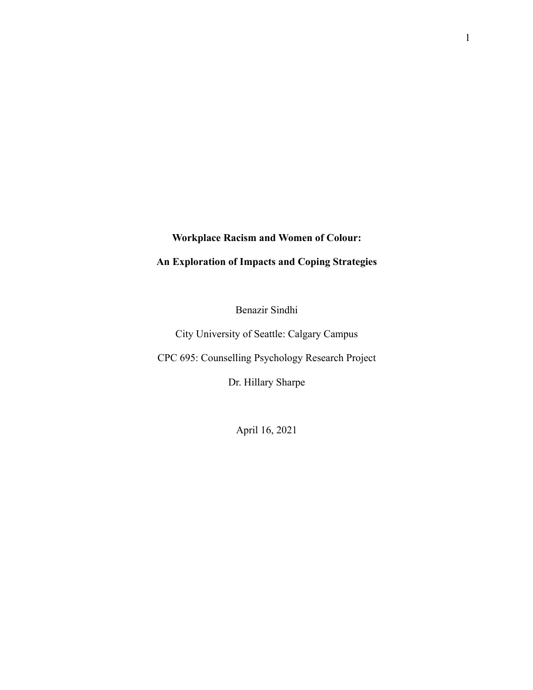# **Workplace Racism and Women of Colour:**

# **An Exploration of Impacts and Coping Strategies**

Benazir Sindhi

City University of Seattle: Calgary Campus

CPC 695: Counselling Psychology Research Project

Dr. Hillary Sharpe

April 16, 2021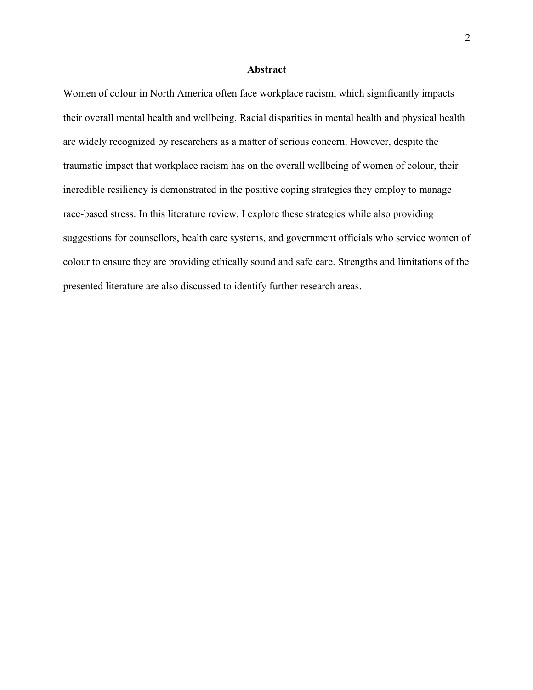### **Abstract**

Women of colour in North America often face workplace racism, which significantly impacts their overall mental health and wellbeing. Racial disparities in mental health and physical health are widely recognized by researchers as a matter of serious concern. However, despite the traumatic impact that workplace racism has on the overall wellbeing of women of colour, their incredible resiliency is demonstrated in the positive coping strategies they employ to manage race-based stress. In this literature review, I explore these strategies while also providing suggestions for counsellors, health care systems, and government officials who service women of colour to ensure they are providing ethically sound and safe care. Strengths and limitations of the presented literature are also discussed to identify further research areas.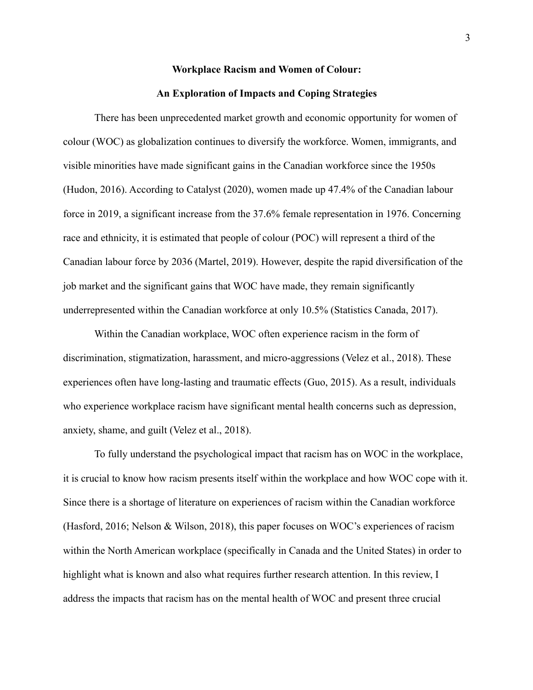## **Workplace Racism and Women of Colour:**

## **An Exploration of Impacts and Coping Strategies**

There has been unprecedented market growth and economic opportunity for women of colour (WOC) as globalization continues to diversify the workforce. Women, immigrants, and visible minorities have made significant gains in the Canadian workforce since the 1950s (Hudon, 2016). According to Catalyst (2020), women made up 47.4% of the Canadian labour force in 2019, a significant increase from the 37.6% female representation in 1976. Concerning race and ethnicity, it is estimated that people of colour (POC) will represent a third of the Canadian labour force by 2036 (Martel, 2019). However, despite the rapid diversification of the job market and the significant gains that WOC have made, they remain significantly underrepresented within the Canadian workforce at only 10.5% (Statistics Canada, 2017).

Within the Canadian workplace, WOC often experience racism in the form of discrimination, stigmatization, harassment, and micro-aggressions (Velez et al., 2018). These experiences often have long-lasting and traumatic effects (Guo, 2015). As a result, individuals who experience workplace racism have significant mental health concerns such as depression, anxiety, shame, and guilt (Velez et al., 2018).

To fully understand the psychological impact that racism has on WOC in the workplace, it is crucial to know how racism presents itself within the workplace and how WOC cope with it. Since there is a shortage of literature on experiences of racism within the Canadian workforce (Hasford, 2016; Nelson & Wilson, 2018), this paper focuses on WOC's experiences of racism within the North American workplace (specifically in Canada and the United States) in order to highlight what is known and also what requires further research attention. In this review, I address the impacts that racism has on the mental health of WOC and present three crucial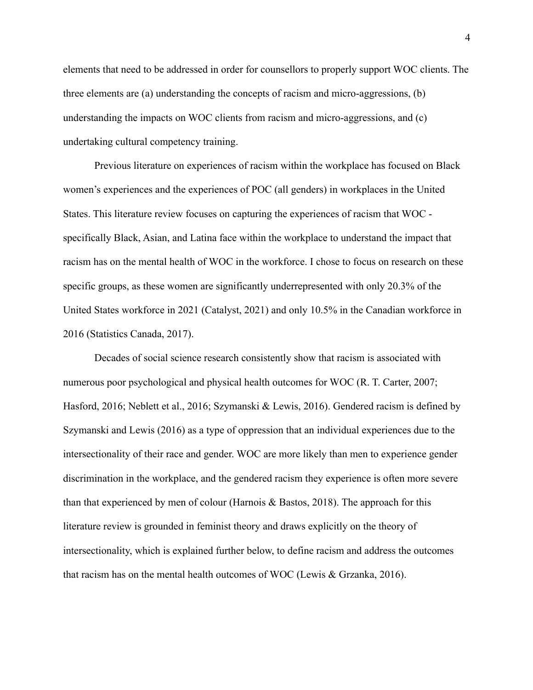elements that need to be addressed in order for counsellors to properly support WOC clients. The three elements are (a) understanding the concepts of racism and micro-aggressions, (b) understanding the impacts on WOC clients from racism and micro-aggressions, and (c) undertaking cultural competency training.

Previous literature on experiences of racism within the workplace has focused on Black women's experiences and the experiences of POC (all genders) in workplaces in the United States. This literature review focuses on capturing the experiences of racism that WOC specifically Black, Asian, and Latina face within the workplace to understand the impact that racism has on the mental health of WOC in the workforce. I chose to focus on research on these specific groups, as these women are significantly underrepresented with only 20.3% of the United States workforce in 2021 (Catalyst, 2021) and only 10.5% in the Canadian workforce in 2016 (Statistics Canada, 2017).

Decades of social science research consistently show that racism is associated with numerous poor psychological and physical health outcomes for WOC (R. T. Carter, 2007; Hasford, 2016; Neblett et al., 2016; Szymanski & Lewis, 2016). Gendered racism is defined by Szymanski and Lewis (2016) as a type of oppression that an individual experiences due to the intersectionality of their race and gender. WOC are more likely than men to experience gender discrimination in the workplace, and the gendered racism they experience is often more severe than that experienced by men of colour (Harnois & Bastos, 2018). The approach for this literature review is grounded in feminist theory and draws explicitly on the theory of intersectionality, which is explained further below, to define racism and address the outcomes that racism has on the mental health outcomes of WOC (Lewis & Grzanka, 2016).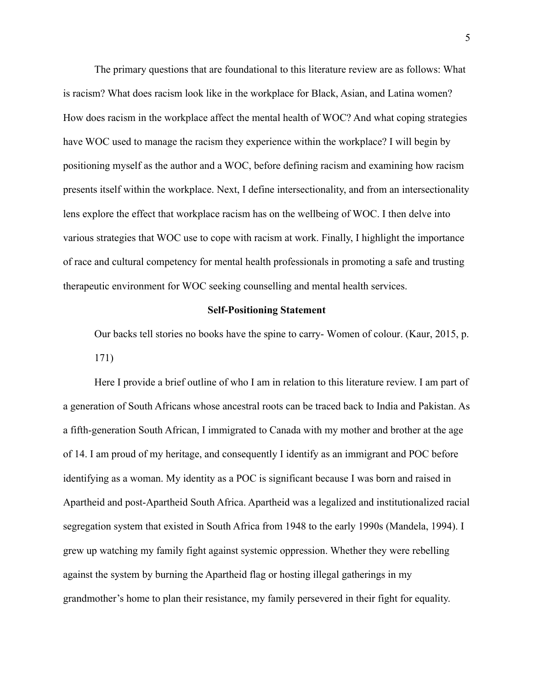The primary questions that are foundational to this literature review are as follows: What is racism? What does racism look like in the workplace for Black, Asian, and Latina women? How does racism in the workplace affect the mental health of WOC? And what coping strategies have WOC used to manage the racism they experience within the workplace? I will begin by positioning myself as the author and a WOC, before defining racism and examining how racism presents itself within the workplace. Next, I define intersectionality, and from an intersectionality lens explore the effect that workplace racism has on the wellbeing of WOC. I then delve into various strategies that WOC use to cope with racism at work. Finally, I highlight the importance of race and cultural competency for mental health professionals in promoting a safe and trusting therapeutic environment for WOC seeking counselling and mental health services.

## **Self-Positioning Statement**

Our backs tell stories no books have the spine to carry- Women of colour. (Kaur, 2015, p. 171)

Here I provide a brief outline of who I am in relation to this literature review. I am part of a generation of South Africans whose ancestral roots can be traced back to India and Pakistan. As a fifth-generation South African, I immigrated to Canada with my mother and brother at the age of 14. I am proud of my heritage, and consequently I identify as an immigrant and POC before identifying as a woman. My identity as a POC is significant because I was born and raised in Apartheid and post-Apartheid South Africa. Apartheid was a legalized and institutionalized racial segregation system that existed in South Africa from 1948 to the early 1990s (Mandela, 1994). I grew up watching my family fight against systemic oppression. Whether they were rebelling against the system by burning the Apartheid flag or hosting illegal gatherings in my grandmother's home to plan their resistance, my family persevered in their fight for equality.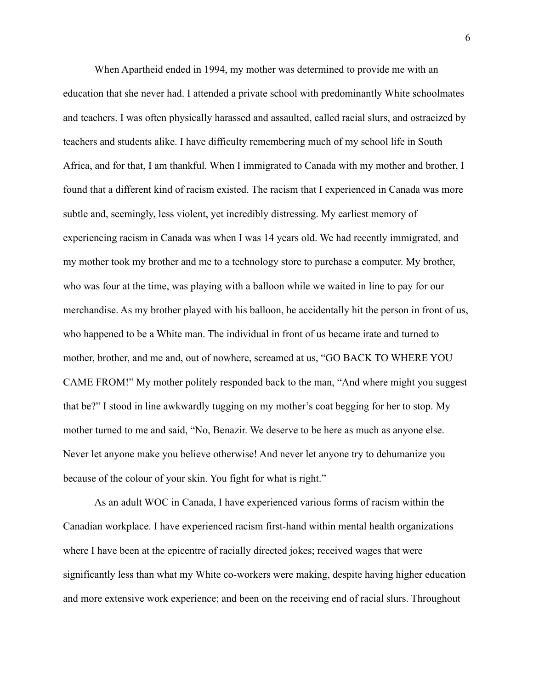When Apartheid ended in 1994, my mother was determined to provide me with an education that she never had. I attended a private school with predominantly White schoolmates and teachers. I was often physically harassed and assaulted, called racial slurs, and ostracized by teachers and students alike. I have difficulty remembering much of my school life in South Africa, and for that, I am thankful. When I immigrated to Canada with my mother and brother, I found that a different kind of racism existed. The racism that I experienced in Canada was more subtle and, seemingly, less violent, yet incredibly distressing. My earliest memory of experiencing racism in Canada was when I was 14 years old. We had recently immigrated, and my mother took my brother and me to a technology store to purchase a computer. My brother, who was four at the time, was playing with a balloon while we waited in line to pay for our merchandise. As my brother played with his balloon, he accidentally hit the person in front of us, who happened to be a White man. The individual in front of us became irate and turned to mother, brother, and me and, out of nowhere, screamed at us, "GO BACK TO WHERE YOU CAME FROM!" My mother politely responded back to the man, "And where might you suggest that be?" I stood in line awkwardly tugging on my mother's coat begging for her to stop. My mother turned to me and said, "No, Benazir. We deserve to be here as much as anyone else. Never let anyone make you believe otherwise! And never let anyone try to dehumanize you because of the colour of your skin. You fight for what is right."

As an adult WOC in Canada, I have experienced various forms of racism within the Canadian workplace. I have experienced racism first-hand within mental health organizations where I have been at the epicentre of racially directed jokes; received wages that were significantly less than what my White co-workers were making, despite having higher education and more extensive work experience; and been on the receiving end of racial slurs. Throughout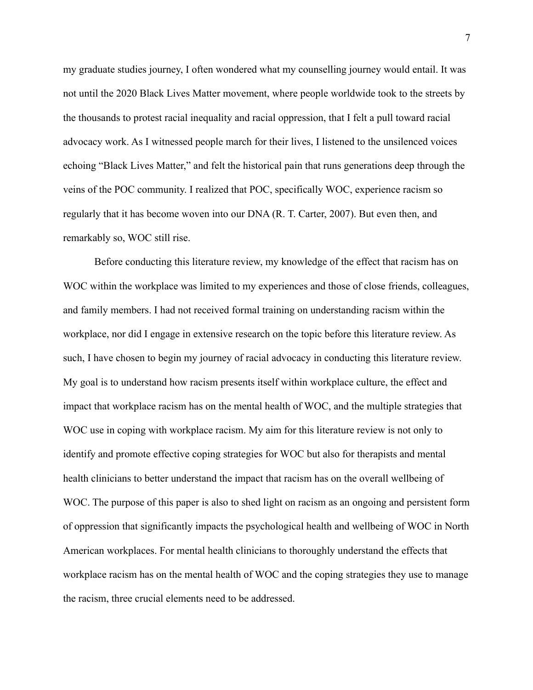my graduate studies journey, I often wondered what my counselling journey would entail. It was not until the 2020 Black Lives Matter movement, where people worldwide took to the streets by the thousands to protest racial inequality and racial oppression, that I felt a pull toward racial advocacy work. As I witnessed people march for their lives, I listened to the unsilenced voices echoing "Black Lives Matter," and felt the historical pain that runs generations deep through the veins of the POC community. I realized that POC, specifically WOC, experience racism so regularly that it has become woven into our DNA (R. T. Carter, 2007). But even then, and remarkably so, WOC still rise.

Before conducting this literature review, my knowledge of the effect that racism has on WOC within the workplace was limited to my experiences and those of close friends, colleagues, and family members. I had not received formal training on understanding racism within the workplace, nor did I engage in extensive research on the topic before this literature review. As such, I have chosen to begin my journey of racial advocacy in conducting this literature review. My goal is to understand how racism presents itself within workplace culture, the effect and impact that workplace racism has on the mental health of WOC, and the multiple strategies that WOC use in coping with workplace racism. My aim for this literature review is not only to identify and promote effective coping strategies for WOC but also for therapists and mental health clinicians to better understand the impact that racism has on the overall wellbeing of WOC. The purpose of this paper is also to shed light on racism as an ongoing and persistent form of oppression that significantly impacts the psychological health and wellbeing of WOC in North American workplaces. For mental health clinicians to thoroughly understand the effects that workplace racism has on the mental health of WOC and the coping strategies they use to manage the racism, three crucial elements need to be addressed.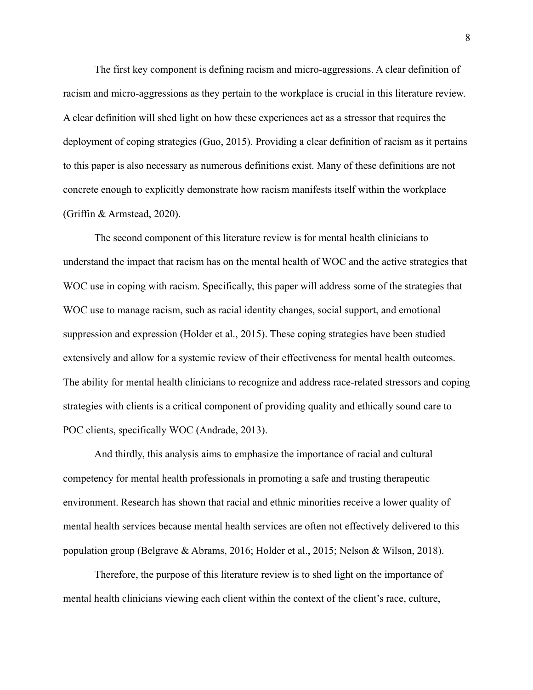The first key component is defining racism and micro-aggressions. A clear definition of racism and micro-aggressions as they pertain to the workplace is crucial in this literature review. A clear definition will shed light on how these experiences act as a stressor that requires the deployment of coping strategies (Guo, 2015). Providing a clear definition of racism as it pertains to this paper is also necessary as numerous definitions exist. Many of these definitions are not concrete enough to explicitly demonstrate how racism manifests itself within the workplace (Griffin & Armstead, 2020).

The second component of this literature review is for mental health clinicians to understand the impact that racism has on the mental health of WOC and the active strategies that WOC use in coping with racism. Specifically, this paper will address some of the strategies that WOC use to manage racism, such as racial identity changes, social support, and emotional suppression and expression (Holder et al., 2015). These coping strategies have been studied extensively and allow for a systemic review of their effectiveness for mental health outcomes. The ability for mental health clinicians to recognize and address race-related stressors and coping strategies with clients is a critical component of providing quality and ethically sound care to POC clients, specifically WOC (Andrade, 2013).

And thirdly, this analysis aims to emphasize the importance of racial and cultural competency for mental health professionals in promoting a safe and trusting therapeutic environment. Research has shown that racial and ethnic minorities receive a lower quality of mental health services because mental health services are often not effectively delivered to this population group (Belgrave & Abrams, 2016; Holder et al., 2015; Nelson & Wilson, 2018).

Therefore, the purpose of this literature review is to shed light on the importance of mental health clinicians viewing each client within the context of the client's race, culture,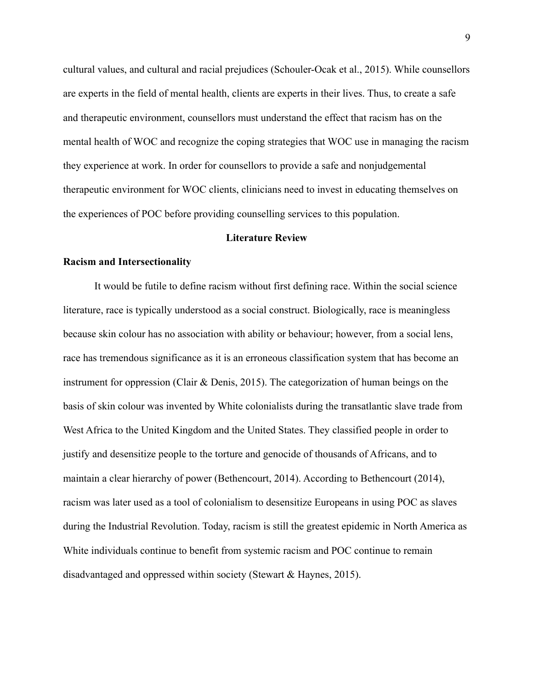cultural values, and cultural and racial prejudices (Schouler-Ocak et al., 2015). While counsellors are experts in the field of mental health, clients are experts in their lives. Thus, to create a safe and therapeutic environment, counsellors must understand the effect that racism has on the mental health of WOC and recognize the coping strategies that WOC use in managing the racism they experience at work. In order for counsellors to provide a safe and nonjudgemental therapeutic environment for WOC clients, clinicians need to invest in educating themselves on the experiences of POC before providing counselling services to this population.

### **Literature Review**

#### **Racism and Intersectionality**

It would be futile to define racism without first defining race. Within the social science literature, race is typically understood as a social construct. Biologically, race is meaningless because skin colour has no association with ability or behaviour; however, from a social lens, race has tremendous significance as it is an erroneous classification system that has become an instrument for oppression (Clair & Denis, 2015). The categorization of human beings on the basis of skin colour was invented by White colonialists during the transatlantic slave trade from West Africa to the United Kingdom and the United States. They classified people in order to justify and desensitize people to the torture and genocide of thousands of Africans, and to maintain a clear hierarchy of power (Bethencourt, 2014). According to Bethencourt (2014), racism was later used as a tool of colonialism to desensitize Europeans in using POC as slaves during the Industrial Revolution. Today, racism is still the greatest epidemic in North America as White individuals continue to benefit from systemic racism and POC continue to remain disadvantaged and oppressed within society (Stewart & Haynes, 2015).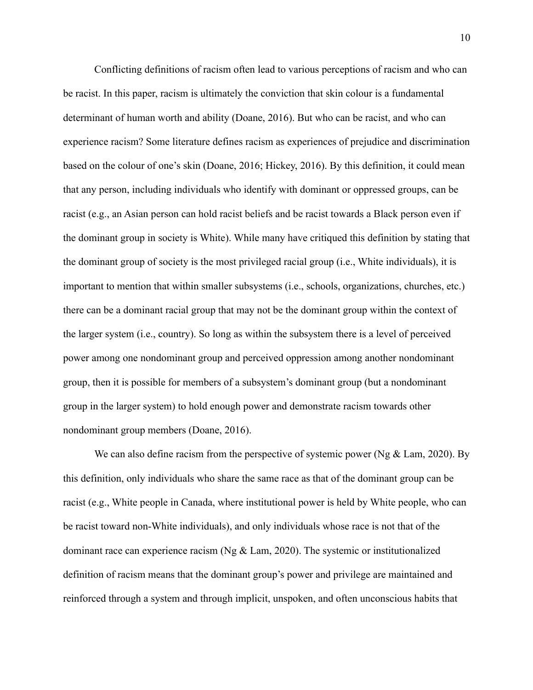Conflicting definitions of racism often lead to various perceptions of racism and who can be racist. In this paper, racism is ultimately the conviction that skin colour is a fundamental determinant of human worth and ability (Doane, 2016). But who can be racist, and who can experience racism? Some literature defines racism as experiences of prejudice and discrimination based on the colour of one's skin (Doane, 2016; Hickey, 2016). By this definition, it could mean that any person, including individuals who identify with dominant or oppressed groups, can be racist (e.g., an Asian person can hold racist beliefs and be racist towards a Black person even if the dominant group in society is White). While many have critiqued this definition by stating that the dominant group of society is the most privileged racial group (i.e., White individuals), it is important to mention that within smaller subsystems (i.e., schools, organizations, churches, etc.) there can be a dominant racial group that may not be the dominant group within the context of the larger system (i.e., country). So long as within the subsystem there is a level of perceived power among one nondominant group and perceived oppression among another nondominant group, then it is possible for members of a subsystem's dominant group (but a nondominant group in the larger system) to hold enough power and demonstrate racism towards other nondominant group members (Doane, 2016).

We can also define racism from the perspective of systemic power (Ng  $&$  Lam, 2020). By this definition, only individuals who share the same race as that of the dominant group can be racist (e.g., White people in Canada, where institutional power is held by White people, who can be racist toward non-White individuals), and only individuals whose race is not that of the dominant race can experience racism (Ng & Lam, 2020). The systemic or institutionalized definition of racism means that the dominant group's power and privilege are maintained and reinforced through a system and through implicit, unspoken, and often unconscious habits that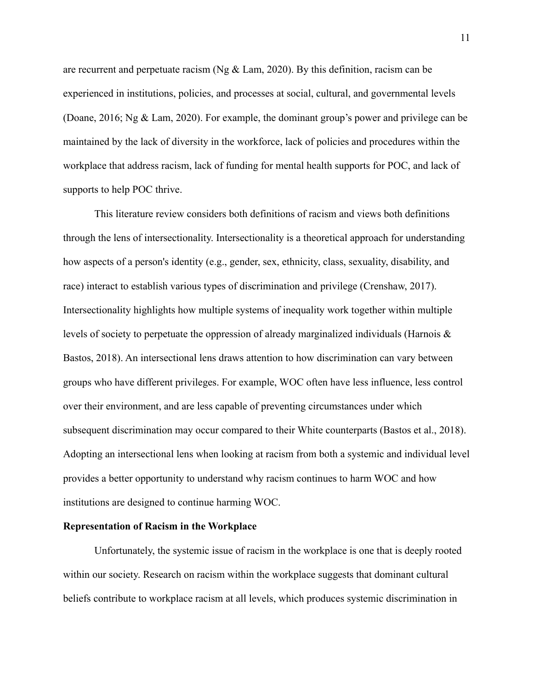are recurrent and perpetuate racism (Ng & Lam, 2020). By this definition, racism can be experienced in institutions, policies, and processes at social, cultural, and governmental levels (Doane, 2016; Ng & Lam, 2020). For example, the dominant group's power and privilege can be maintained by the lack of diversity in the workforce, lack of policies and procedures within the workplace that address racism, lack of funding for mental health supports for POC, and lack of supports to help POC thrive.

This literature review considers both definitions of racism and views both definitions through the lens of intersectionality. Intersectionality is a theoretical approach for understanding how aspects of a person's identity (e.g., gender, sex, ethnicity, class, sexuality, disability, and race) interact to establish various types of discrimination and privilege (Crenshaw, 2017). Intersectionality highlights how multiple systems of inequality work together within multiple levels of society to perpetuate the oppression of already marginalized individuals (Harnois & Bastos, 2018). An intersectional lens draws attention to how discrimination can vary between groups who have different privileges. For example, WOC often have less influence, less control over their environment, and are less capable of preventing circumstances under which subsequent discrimination may occur compared to their White counterparts (Bastos et al., 2018). Adopting an intersectional lens when looking at racism from both a systemic and individual level provides a better opportunity to understand why racism continues to harm WOC and how institutions are designed to continue harming WOC.

# **Representation of Racism in the Workplace**

Unfortunately, the systemic issue of racism in the workplace is one that is deeply rooted within our society. Research on racism within the workplace suggests that dominant cultural beliefs contribute to workplace racism at all levels, which produces systemic discrimination in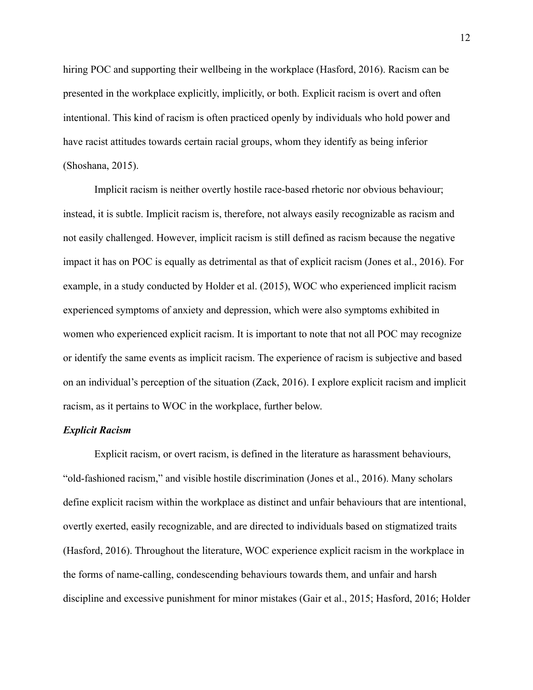hiring POC and supporting their wellbeing in the workplace (Hasford, 2016). Racism can be presented in the workplace explicitly, implicitly, or both. Explicit racism is overt and often intentional. This kind of racism is often practiced openly by individuals who hold power and have racist attitudes towards certain racial groups, whom they identify as being inferior (Shoshana, 2015).

Implicit racism is neither overtly hostile race-based rhetoric nor obvious behaviour; instead, it is subtle. Implicit racism is, therefore, not always easily recognizable as racism and not easily challenged. However, implicit racism is still defined as racism because the negative impact it has on POC is equally as detrimental as that of explicit racism (Jones et al., 2016). For example, in a study conducted by Holder et al. (2015), WOC who experienced implicit racism experienced symptoms of anxiety and depression, which were also symptoms exhibited in women who experienced explicit racism. It is important to note that not all POC may recognize or identify the same events as implicit racism. The experience of racism is subjective and based on an individual's perception of the situation (Zack, 2016). I explore explicit racism and implicit racism, as it pertains to WOC in the workplace, further below.

# *Explicit Racism*

Explicit racism, or overt racism, is defined in the literature as harassment behaviours, "old-fashioned racism," and visible hostile discrimination (Jones et al., 2016). Many scholars define explicit racism within the workplace as distinct and unfair behaviours that are intentional, overtly exerted, easily recognizable, and are directed to individuals based on stigmatized traits (Hasford, 2016). Throughout the literature, WOC experience explicit racism in the workplace in the forms of name-calling, condescending behaviours towards them, and unfair and harsh discipline and excessive punishment for minor mistakes (Gair et al., 2015; Hasford, 2016; Holder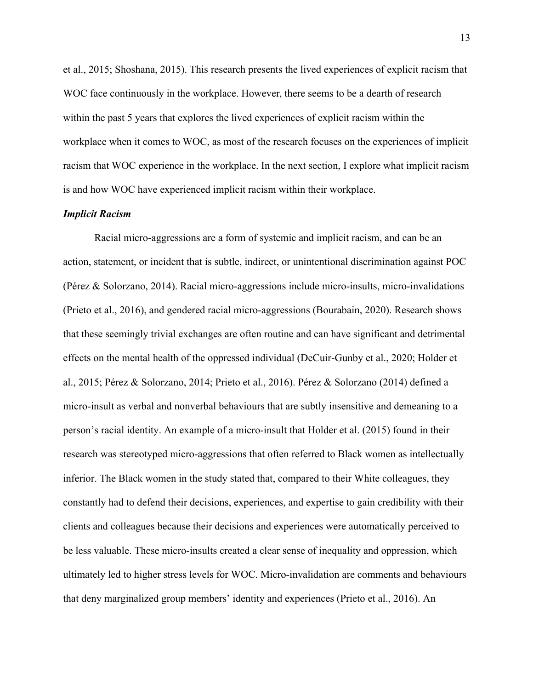et al., 2015; Shoshana, 2015). This research presents the lived experiences of explicit racism that WOC face continuously in the workplace. However, there seems to be a dearth of research within the past 5 years that explores the lived experiences of explicit racism within the workplace when it comes to WOC, as most of the research focuses on the experiences of implicit racism that WOC experience in the workplace. In the next section, I explore what implicit racism is and how WOC have experienced implicit racism within their workplace.

#### *Implicit Racism*

Racial micro-aggressions are a form of systemic and implicit racism, and can be an action, statement, or incident that is subtle, indirect, or unintentional discrimination against POC (Pérez & Solorzano, 2014). Racial micro-aggressions include micro-insults, micro-invalidations (Prieto et al., 2016), and gendered racial micro-aggressions (Bourabain, 2020). Research shows that these seemingly trivial exchanges are often routine and can have significant and detrimental effects on the mental health of the oppressed individual (DeCuir-Gunby et al., 2020; Holder et al., 2015; Pérez & Solorzano, 2014; Prieto et al., 2016). Pérez & Solorzano (2014) defined a micro-insult as verbal and nonverbal behaviours that are subtly insensitive and demeaning to a person's racial identity. An example of a micro-insult that Holder et al. (2015) found in their research was stereotyped micro-aggressions that often referred to Black women as intellectually inferior. The Black women in the study stated that, compared to their White colleagues, they constantly had to defend their decisions, experiences, and expertise to gain credibility with their clients and colleagues because their decisions and experiences were automatically perceived to be less valuable. These micro-insults created a clear sense of inequality and oppression, which ultimately led to higher stress levels for WOC. Micro-invalidation are comments and behaviours that deny marginalized group members' identity and experiences (Prieto et al., 2016). An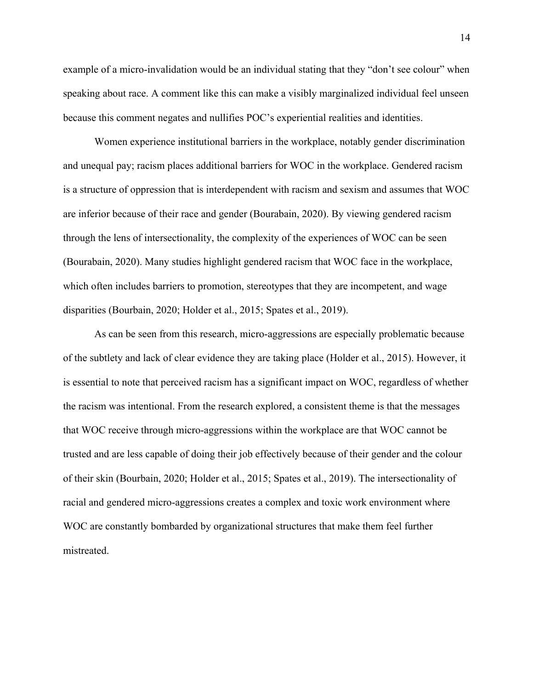example of a micro-invalidation would be an individual stating that they "don't see colour" when speaking about race. A comment like this can make a visibly marginalized individual feel unseen because this comment negates and nullifies POC's experiential realities and identities.

Women experience institutional barriers in the workplace, notably gender discrimination and unequal pay; racism places additional barriers for WOC in the workplace. Gendered racism is a structure of oppression that is interdependent with racism and sexism and assumes that WOC are inferior because of their race and gender (Bourabain, 2020). By viewing gendered racism through the lens of intersectionality, the complexity of the experiences of WOC can be seen (Bourabain, 2020). Many studies highlight gendered racism that WOC face in the workplace, which often includes barriers to promotion, stereotypes that they are incompetent, and wage disparities (Bourbain, 2020; Holder et al., 2015; Spates et al., 2019).

As can be seen from this research, micro-aggressions are especially problematic because of the subtlety and lack of clear evidence they are taking place (Holder et al., 2015). However, it is essential to note that perceived racism has a significant impact on WOC, regardless of whether the racism was intentional. From the research explored, a consistent theme is that the messages that WOC receive through micro-aggressions within the workplace are that WOC cannot be trusted and are less capable of doing their job effectively because of their gender and the colour of their skin (Bourbain, 2020; Holder et al., 2015; Spates et al., 2019). The intersectionality of racial and gendered micro-aggressions creates a complex and toxic work environment where WOC are constantly bombarded by organizational structures that make them feel further mistreated.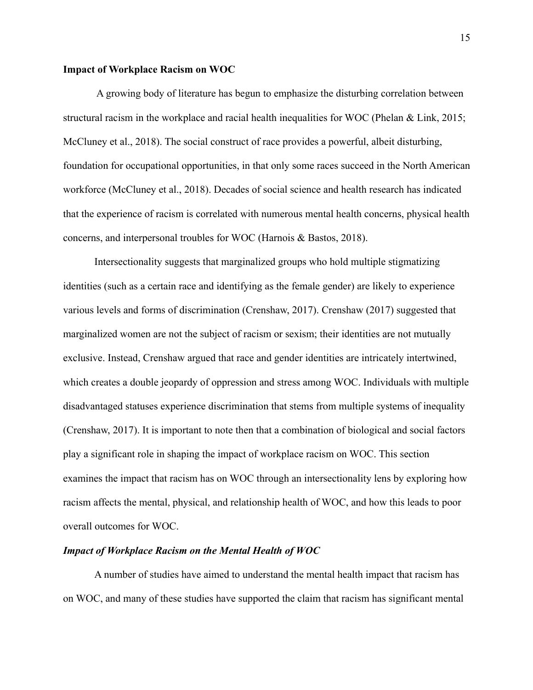## **Impact of Workplace Racism on WOC**

A growing body of literature has begun to emphasize the disturbing correlation between structural racism in the workplace and racial health inequalities for WOC (Phelan & Link, 2015; McCluney et al., 2018). The social construct of race provides a powerful, albeit disturbing, foundation for occupational opportunities, in that only some races succeed in the North American workforce (McCluney et al., 2018). Decades of social science and health research has indicated that the experience of racism is correlated with numerous mental health concerns, physical health concerns, and interpersonal troubles for WOC (Harnois & Bastos, 2018).

Intersectionality suggests that marginalized groups who hold multiple stigmatizing identities (such as a certain race and identifying as the female gender) are likely to experience various levels and forms of discrimination (Crenshaw, 2017). Crenshaw (2017) suggested that marginalized women are not the subject of racism or sexism; their identities are not mutually exclusive. Instead, Crenshaw argued that race and gender identities are intricately intertwined, which creates a double jeopardy of oppression and stress among WOC. Individuals with multiple disadvantaged statuses experience discrimination that stems from multiple systems of inequality (Crenshaw, 2017). It is important to note then that a combination of biological and social factors play a significant role in shaping the impact of workplace racism on WOC. This section examines the impact that racism has on WOC through an intersectionality lens by exploring how racism affects the mental, physical, and relationship health of WOC, and how this leads to poor overall outcomes for WOC.

# *Impact of Workplace Racism on the Mental Health of WOC*

A number of studies have aimed to understand the mental health impact that racism has on WOC, and many of these studies have supported the claim that racism has significant mental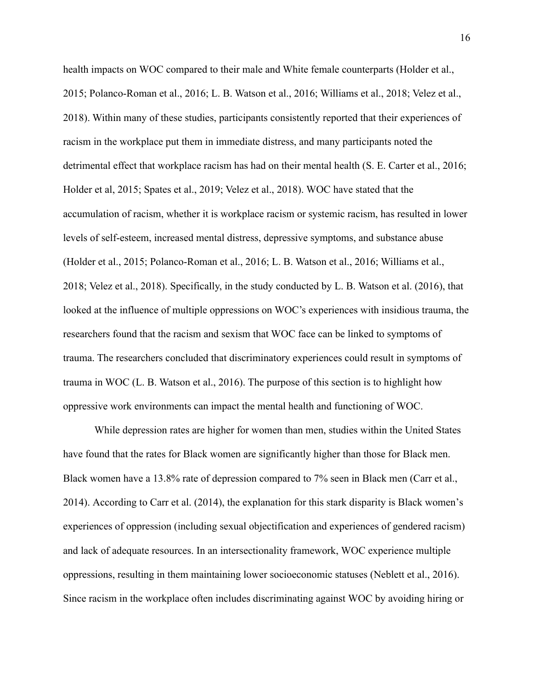health impacts on WOC compared to their male and White female counterparts (Holder et al., 2015; Polanco-Roman et al., 2016; L. B. Watson et al., 2016; Williams et al., 2018; Velez et al., 2018). Within many of these studies, participants consistently reported that their experiences of racism in the workplace put them in immediate distress, and many participants noted the detrimental effect that workplace racism has had on their mental health (S. E. Carter et al., 2016; Holder et al, 2015; Spates et al., 2019; Velez et al., 2018). WOC have stated that the accumulation of racism, whether it is workplace racism or systemic racism, has resulted in lower levels of self-esteem, increased mental distress, depressive symptoms, and substance abuse (Holder et al., 2015; Polanco-Roman et al., 2016; L. B. Watson et al., 2016; Williams et al., 2018; Velez et al., 2018). Specifically, in the study conducted by L. B. Watson et al. (2016), that looked at the influence of multiple oppressions on WOC's experiences with insidious trauma, the researchers found that the racism and sexism that WOC face can be linked to symptoms of trauma. The researchers concluded that discriminatory experiences could result in symptoms of trauma in WOC (L. B. Watson et al., 2016). The purpose of this section is to highlight how oppressive work environments can impact the mental health and functioning of WOC.

While depression rates are higher for women than men, studies within the United States have found that the rates for Black women are significantly higher than those for Black men. Black women have a 13.8% rate of depression compared to 7% seen in Black men (Carr et al., 2014). According to Carr et al. (2014), the explanation for this stark disparity is Black women's experiences of oppression (including sexual objectification and experiences of gendered racism) and lack of adequate resources. In an intersectionality framework, WOC experience multiple oppressions, resulting in them maintaining lower socioeconomic statuses (Neblett et al., 2016). Since racism in the workplace often includes discriminating against WOC by avoiding hiring or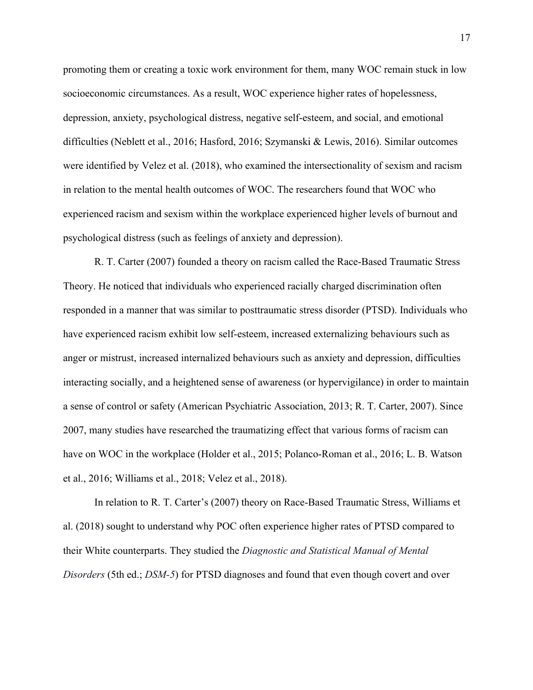promoting them or creating a toxic work environment for them, many WOC remain stuck in low socioeconomic circumstances. As a result, WOC experience higher rates of hopelessness, depression, anxiety, psychological distress, negative self-esteem, and social, and emotional difficulties (Neblett et al., 2016; Hasford, 2016; Szymanski & Lewis, 2016). Similar outcomes were identified by Velez et al. (2018), who examined the intersectionality of sexism and racism in relation to the mental health outcomes of WOC. The researchers found that WOC who experienced racism and sexism within the workplace experienced higher levels of burnout and psychological distress (such as feelings of anxiety and depression).

R. T. Carter (2007) founded a theory on racism called the Race-Based Traumatic Stress Theory. He noticed that individuals who experienced racially charged discrimination often responded in a manner that was similar to posttraumatic stress disorder (PTSD). Individuals who have experienced racism exhibit low self-esteem, increased externalizing behaviours such as anger or mistrust, increased internalized behaviours such as anxiety and depression, difficulties interacting socially, and a heightened sense of awareness (or hypervigilance) in order to maintain a sense of control or safety (American Psychiatric Association, 2013; R. T. Carter, 2007). Since 2007, many studies have researched the traumatizing effect that various forms of racism can have on WOC in the workplace (Holder et al., 2015; Polanco-Roman et al., 2016; L. B. Watson et al., 2016; Williams et al., 2018; Velez et al., 2018).

In relation to R. T. Carter's (2007) theory on Race-Based Traumatic Stress, Williams et al. (2018) sought to understand why POC often experience higher rates of PTSD compared to their White counterparts. They studied the *Diagnostic and Statistical Manual of Mental Disorders* (5th ed.; *DSM-5*) for PTSD diagnoses and found that even though covert and over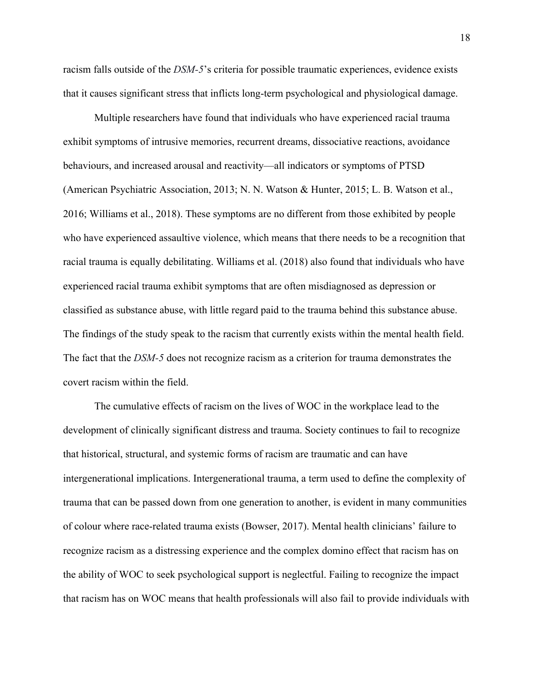racism falls outside of the *DSM-5*'s criteria for possible traumatic experiences, evidence exists that it causes significant stress that inflicts long-term psychological and physiological damage.

Multiple researchers have found that individuals who have experienced racial trauma exhibit symptoms of intrusive memories, recurrent dreams, dissociative reactions, avoidance behaviours, and increased arousal and reactivity—all indicators or symptoms of PTSD (American Psychiatric Association, 2013; N. N. Watson & Hunter, 2015; L. B. Watson et al., 2016; Williams et al., 2018). These symptoms are no different from those exhibited by people who have experienced assaultive violence, which means that there needs to be a recognition that racial trauma is equally debilitating. Williams et al. (2018) also found that individuals who have experienced racial trauma exhibit symptoms that are often misdiagnosed as depression or classified as substance abuse, with little regard paid to the trauma behind this substance abuse. The findings of the study speak to the racism that currently exists within the mental health field. The fact that the *DSM-5* does not recognize racism as a criterion for trauma demonstrates the covert racism within the field.

The cumulative effects of racism on the lives of WOC in the workplace lead to the development of clinically significant distress and trauma. Society continues to fail to recognize that historical, structural, and systemic forms of racism are traumatic and can have intergenerational implications. Intergenerational trauma, a term used to define the complexity of trauma that can be passed down from one generation to another, is evident in many communities of colour where race-related trauma exists (Bowser, 2017). Mental health clinicians' failure to recognize racism as a distressing experience and the complex domino effect that racism has on the ability of WOC to seek psychological support is neglectful. Failing to recognize the impact that racism has on WOC means that health professionals will also fail to provide individuals with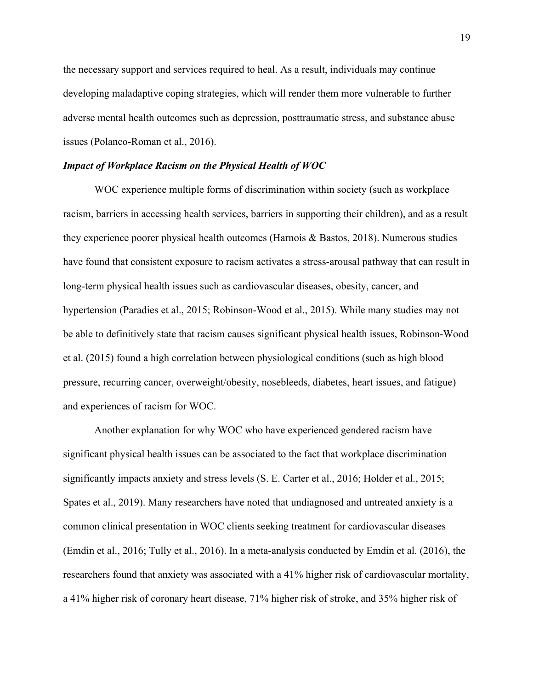the necessary support and services required to heal. As a result, individuals may continue developing maladaptive coping strategies, which will render them more vulnerable to further adverse mental health outcomes such as depression, posttraumatic stress, and substance abuse issues (Polanco-Roman et al., 2016).

## *Impact of Workplace Racism on the Physical Health of WOC*

WOC experience multiple forms of discrimination within society (such as workplace racism, barriers in accessing health services, barriers in supporting their children), and as a result they experience poorer physical health outcomes (Harnois & Bastos, 2018). Numerous studies have found that consistent exposure to racism activates a stress-arousal pathway that can result in long-term physical health issues such as cardiovascular diseases, obesity, cancer, and hypertension (Paradies et al., 2015; Robinson-Wood et al., 2015). While many studies may not be able to definitively state that racism causes significant physical health issues, Robinson-Wood et al. (2015) found a high correlation between physiological conditions (such as high blood pressure, recurring cancer, overweight/obesity, nosebleeds, diabetes, heart issues, and fatigue) and experiences of racism for WOC.

Another explanation for why WOC who have experienced gendered racism have significant physical health issues can be associated to the fact that workplace discrimination significantly impacts anxiety and stress levels (S. E. Carter et al., 2016; Holder et al., 2015; Spates et al., 2019). Many researchers have noted that undiagnosed and untreated anxiety is a common clinical presentation in WOC clients seeking treatment for cardiovascular diseases (Emdin et al., 2016; Tully et al., 2016). In a meta-analysis conducted by Emdin et al. (2016), the researchers found that anxiety was associated with a 41% higher risk of cardiovascular mortality, a 41% higher risk of coronary heart disease, 71% higher risk of stroke, and 35% higher risk of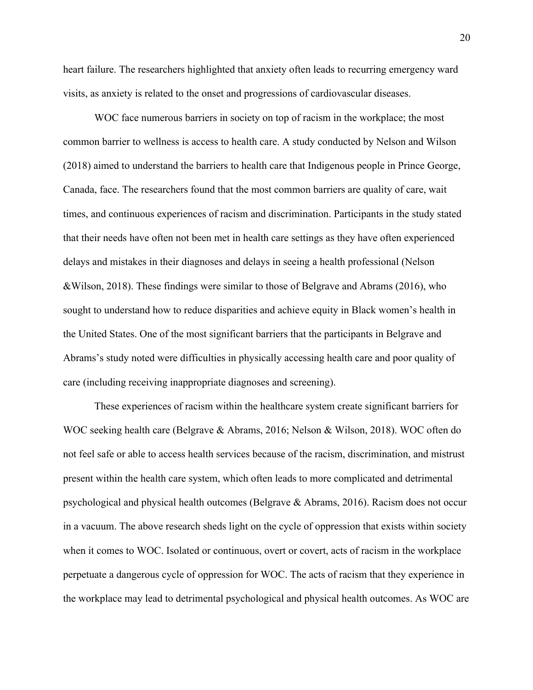heart failure. The researchers highlighted that anxiety often leads to recurring emergency ward visits, as anxiety is related to the onset and progressions of cardiovascular diseases.

WOC face numerous barriers in society on top of racism in the workplace; the most common barrier to wellness is access to health care. A study conducted by Nelson and Wilson (2018) aimed to understand the barriers to health care that Indigenous people in Prince George, Canada, face. The researchers found that the most common barriers are quality of care, wait times, and continuous experiences of racism and discrimination. Participants in the study stated that their needs have often not been met in health care settings as they have often experienced delays and mistakes in their diagnoses and delays in seeing a health professional (Nelson &Wilson, 2018). These findings were similar to those of Belgrave and Abrams (2016), who sought to understand how to reduce disparities and achieve equity in Black women's health in the United States. One of the most significant barriers that the participants in Belgrave and Abrams's study noted were difficulties in physically accessing health care and poor quality of care (including receiving inappropriate diagnoses and screening).

These experiences of racism within the healthcare system create significant barriers for WOC seeking health care (Belgrave & Abrams, 2016; Nelson & Wilson, 2018). WOC often do not feel safe or able to access health services because of the racism, discrimination, and mistrust present within the health care system, which often leads to more complicated and detrimental psychological and physical health outcomes (Belgrave & Abrams, 2016). Racism does not occur in a vacuum. The above research sheds light on the cycle of oppression that exists within society when it comes to WOC. Isolated or continuous, overt or covert, acts of racism in the workplace perpetuate a dangerous cycle of oppression for WOC. The acts of racism that they experience in the workplace may lead to detrimental psychological and physical health outcomes. As WOC are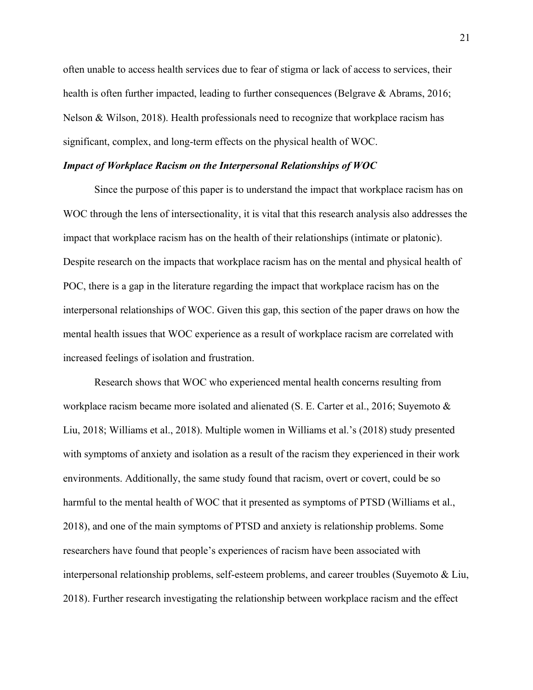often unable to access health services due to fear of stigma or lack of access to services, their health is often further impacted, leading to further consequences (Belgrave & Abrams, 2016; Nelson & Wilson, 2018). Health professionals need to recognize that workplace racism has significant, complex, and long-term effects on the physical health of WOC.

## *Impact of Workplace Racism on the Interpersonal Relationships of WOC*

Since the purpose of this paper is to understand the impact that workplace racism has on WOC through the lens of intersectionality, it is vital that this research analysis also addresses the impact that workplace racism has on the health of their relationships (intimate or platonic). Despite research on the impacts that workplace racism has on the mental and physical health of POC, there is a gap in the literature regarding the impact that workplace racism has on the interpersonal relationships of WOC. Given this gap, this section of the paper draws on how the mental health issues that WOC experience as a result of workplace racism are correlated with increased feelings of isolation and frustration.

Research shows that WOC who experienced mental health concerns resulting from workplace racism became more isolated and alienated (S. E. Carter et al., 2016; Suyemoto & Liu, 2018; Williams et al., 2018). Multiple women in Williams et al.'s (2018) study presented with symptoms of anxiety and isolation as a result of the racism they experienced in their work environments. Additionally, the same study found that racism, overt or covert, could be so harmful to the mental health of WOC that it presented as symptoms of PTSD (Williams et al., 2018), and one of the main symptoms of PTSD and anxiety is relationship problems. Some researchers have found that people's experiences of racism have been associated with interpersonal relationship problems, self-esteem problems, and career troubles (Suyemoto & Liu, 2018). Further research investigating the relationship between workplace racism and the effect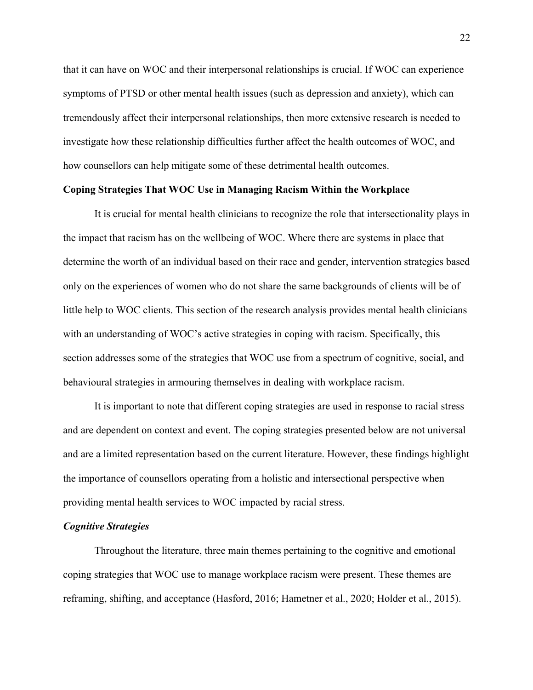that it can have on WOC and their interpersonal relationships is crucial. If WOC can experience symptoms of PTSD or other mental health issues (such as depression and anxiety), which can tremendously affect their interpersonal relationships, then more extensive research is needed to investigate how these relationship difficulties further affect the health outcomes of WOC, and how counsellors can help mitigate some of these detrimental health outcomes.

# **Coping Strategies That WOC Use in Managing Racism Within the Workplace**

It is crucial for mental health clinicians to recognize the role that intersectionality plays in the impact that racism has on the wellbeing of WOC. Where there are systems in place that determine the worth of an individual based on their race and gender, intervention strategies based only on the experiences of women who do not share the same backgrounds of clients will be of little help to WOC clients. This section of the research analysis provides mental health clinicians with an understanding of WOC's active strategies in coping with racism. Specifically, this section addresses some of the strategies that WOC use from a spectrum of cognitive, social, and behavioural strategies in armouring themselves in dealing with workplace racism.

It is important to note that different coping strategies are used in response to racial stress and are dependent on context and event. The coping strategies presented below are not universal and are a limited representation based on the current literature. However, these findings highlight the importance of counsellors operating from a holistic and intersectional perspective when providing mental health services to WOC impacted by racial stress.

# *Cognitive Strategies*

Throughout the literature, three main themes pertaining to the cognitive and emotional coping strategies that WOC use to manage workplace racism were present. These themes are reframing, shifting, and acceptance (Hasford, 2016; Hametner et al., 2020; Holder et al., 2015).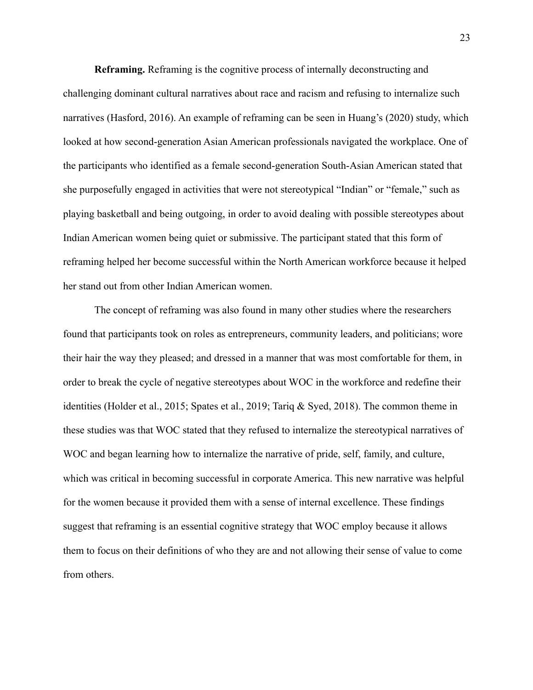**Reframing.** Reframing is the cognitive process of internally deconstructing and challenging dominant cultural narratives about race and racism and refusing to internalize such narratives (Hasford, 2016). An example of reframing can be seen in Huang's (2020) study, which looked at how second-generation Asian American professionals navigated the workplace. One of the participants who identified as a female second-generation South-Asian American stated that she purposefully engaged in activities that were not stereotypical "Indian" or "female," such as playing basketball and being outgoing, in order to avoid dealing with possible stereotypes about Indian American women being quiet or submissive. The participant stated that this form of reframing helped her become successful within the North American workforce because it helped her stand out from other Indian American women.

The concept of reframing was also found in many other studies where the researchers found that participants took on roles as entrepreneurs, community leaders, and politicians; wore their hair the way they pleased; and dressed in a manner that was most comfortable for them, in order to break the cycle of negative stereotypes about WOC in the workforce and redefine their identities (Holder et al., 2015; Spates et al., 2019; Tariq & Syed, 2018). The common theme in these studies was that WOC stated that they refused to internalize the stereotypical narratives of WOC and began learning how to internalize the narrative of pride, self, family, and culture, which was critical in becoming successful in corporate America. This new narrative was helpful for the women because it provided them with a sense of internal excellence. These findings suggest that reframing is an essential cognitive strategy that WOC employ because it allows them to focus on their definitions of who they are and not allowing their sense of value to come from others.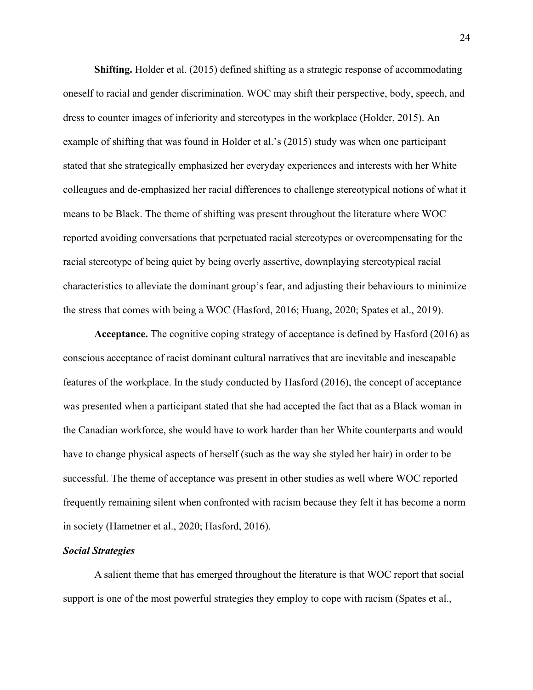**Shifting.** Holder et al. (2015) defined shifting as a strategic response of accommodating oneself to racial and gender discrimination. WOC may shift their perspective, body, speech, and dress to counter images of inferiority and stereotypes in the workplace (Holder, 2015). An example of shifting that was found in Holder et al.'s (2015) study was when one participant stated that she strategically emphasized her everyday experiences and interests with her White colleagues and de-emphasized her racial differences to challenge stereotypical notions of what it means to be Black. The theme of shifting was present throughout the literature where WOC reported avoiding conversations that perpetuated racial stereotypes or overcompensating for the racial stereotype of being quiet by being overly assertive, downplaying stereotypical racial characteristics to alleviate the dominant group's fear, and adjusting their behaviours to minimize the stress that comes with being a WOC (Hasford, 2016; Huang, 2020; Spates et al., 2019).

**Acceptance.** The cognitive coping strategy of acceptance is defined by Hasford (2016) as conscious acceptance of racist dominant cultural narratives that are inevitable and inescapable features of the workplace. In the study conducted by Hasford (2016), the concept of acceptance was presented when a participant stated that she had accepted the fact that as a Black woman in the Canadian workforce, she would have to work harder than her White counterparts and would have to change physical aspects of herself (such as the way she styled her hair) in order to be successful. The theme of acceptance was present in other studies as well where WOC reported frequently remaining silent when confronted with racism because they felt it has become a norm in society (Hametner et al., 2020; Hasford, 2016).

# *Social Strategies*

A salient theme that has emerged throughout the literature is that WOC report that social support is one of the most powerful strategies they employ to cope with racism (Spates et al.,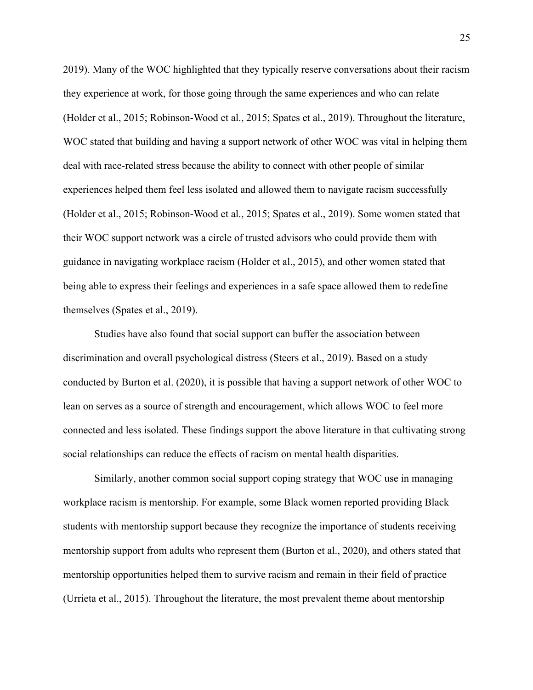2019). Many of the WOC highlighted that they typically reserve conversations about their racism they experience at work, for those going through the same experiences and who can relate (Holder et al., 2015; Robinson-Wood et al., 2015; Spates et al., 2019). Throughout the literature, WOC stated that building and having a support network of other WOC was vital in helping them deal with race-related stress because the ability to connect with other people of similar experiences helped them feel less isolated and allowed them to navigate racism successfully (Holder et al., 2015; Robinson-Wood et al., 2015; Spates et al., 2019). Some women stated that their WOC support network was a circle of trusted advisors who could provide them with guidance in navigating workplace racism (Holder et al., 2015), and other women stated that being able to express their feelings and experiences in a safe space allowed them to redefine themselves (Spates et al., 2019).

Studies have also found that social support can buffer the association between discrimination and overall psychological distress (Steers et al., 2019). Based on a study conducted by Burton et al. (2020), it is possible that having a support network of other WOC to lean on serves as a source of strength and encouragement, which allows WOC to feel more connected and less isolated. These findings support the above literature in that cultivating strong social relationships can reduce the effects of racism on mental health disparities.

Similarly, another common social support coping strategy that WOC use in managing workplace racism is mentorship. For example, some Black women reported providing Black students with mentorship support because they recognize the importance of students receiving mentorship support from adults who represent them (Burton et al., 2020), and others stated that mentorship opportunities helped them to survive racism and remain in their field of practice (Urrieta et al., 2015). Throughout the literature, the most prevalent theme about mentorship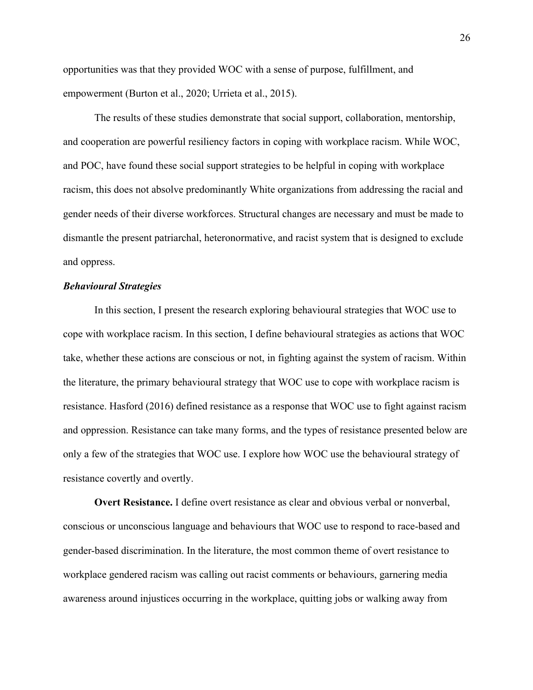opportunities was that they provided WOC with a sense of purpose, fulfillment, and empowerment (Burton et al., 2020; Urrieta et al., 2015).

The results of these studies demonstrate that social support, collaboration, mentorship, and cooperation are powerful resiliency factors in coping with workplace racism. While WOC, and POC, have found these social support strategies to be helpful in coping with workplace racism, this does not absolve predominantly White organizations from addressing the racial and gender needs of their diverse workforces. Structural changes are necessary and must be made to dismantle the present patriarchal, heteronormative, and racist system that is designed to exclude and oppress.

# *Behavioural Strategies*

In this section, I present the research exploring behavioural strategies that WOC use to cope with workplace racism. In this section, I define behavioural strategies as actions that WOC take, whether these actions are conscious or not, in fighting against the system of racism. Within the literature, the primary behavioural strategy that WOC use to cope with workplace racism is resistance. Hasford (2016) defined resistance as a response that WOC use to fight against racism and oppression. Resistance can take many forms, and the types of resistance presented below are only a few of the strategies that WOC use. I explore how WOC use the behavioural strategy of resistance covertly and overtly.

**Overt Resistance.** I define overt resistance as clear and obvious verbal or nonverbal, conscious or unconscious language and behaviours that WOC use to respond to race-based and gender-based discrimination. In the literature, the most common theme of overt resistance to workplace gendered racism was calling out racist comments or behaviours, garnering media awareness around injustices occurring in the workplace, quitting jobs or walking away from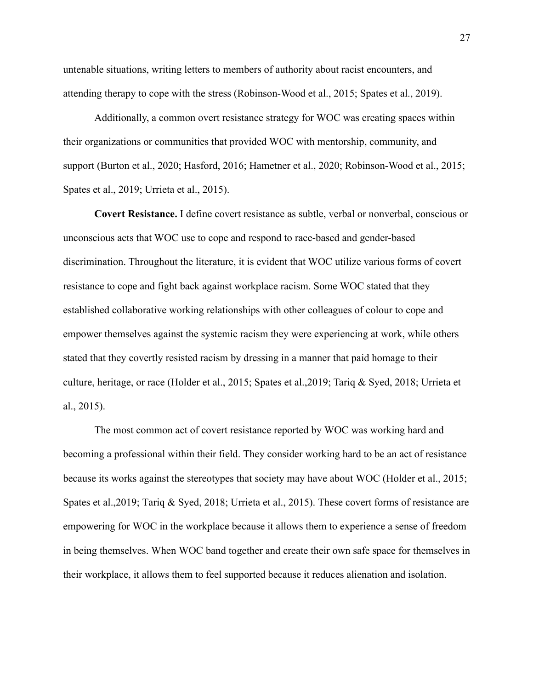untenable situations, writing letters to members of authority about racist encounters, and attending therapy to cope with the stress (Robinson-Wood et al., 2015; Spates et al., 2019).

Additionally, a common overt resistance strategy for WOC was creating spaces within their organizations or communities that provided WOC with mentorship, community, and support (Burton et al., 2020; Hasford, 2016; Hametner et al., 2020; Robinson-Wood et al., 2015; Spates et al., 2019; Urrieta et al., 2015).

**Covert Resistance.** I define covert resistance as subtle, verbal or nonverbal, conscious or unconscious acts that WOC use to cope and respond to race-based and gender-based discrimination. Throughout the literature, it is evident that WOC utilize various forms of covert resistance to cope and fight back against workplace racism. Some WOC stated that they established collaborative working relationships with other colleagues of colour to cope and empower themselves against the systemic racism they were experiencing at work, while others stated that they covertly resisted racism by dressing in a manner that paid homage to their culture, heritage, or race (Holder et al., 2015; Spates et al.,2019; Tariq & Syed, 2018; Urrieta et al., 2015).

The most common act of covert resistance reported by WOC was working hard and becoming a professional within their field. They consider working hard to be an act of resistance because its works against the stereotypes that society may have about WOC (Holder et al., 2015; Spates et al.,2019; Tariq & Syed, 2018; Urrieta et al., 2015). These covert forms of resistance are empowering for WOC in the workplace because it allows them to experience a sense of freedom in being themselves. When WOC band together and create their own safe space for themselves in their workplace, it allows them to feel supported because it reduces alienation and isolation.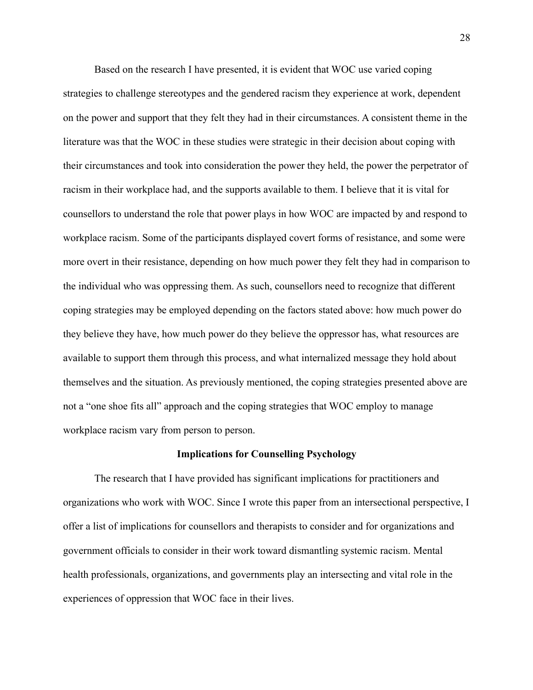Based on the research I have presented, it is evident that WOC use varied coping strategies to challenge stereotypes and the gendered racism they experience at work, dependent on the power and support that they felt they had in their circumstances. A consistent theme in the literature was that the WOC in these studies were strategic in their decision about coping with their circumstances and took into consideration the power they held, the power the perpetrator of racism in their workplace had, and the supports available to them. I believe that it is vital for counsellors to understand the role that power plays in how WOC are impacted by and respond to workplace racism. Some of the participants displayed covert forms of resistance, and some were more overt in their resistance, depending on how much power they felt they had in comparison to the individual who was oppressing them. As such, counsellors need to recognize that different coping strategies may be employed depending on the factors stated above: how much power do they believe they have, how much power do they believe the oppressor has, what resources are available to support them through this process, and what internalized message they hold about themselves and the situation. As previously mentioned, the coping strategies presented above are not a "one shoe fits all" approach and the coping strategies that WOC employ to manage workplace racism vary from person to person.

#### **Implications for Counselling Psychology**

The research that I have provided has significant implications for practitioners and organizations who work with WOC. Since I wrote this paper from an intersectional perspective, I offer a list of implications for counsellors and therapists to consider and for organizations and government officials to consider in their work toward dismantling systemic racism. Mental health professionals, organizations, and governments play an intersecting and vital role in the experiences of oppression that WOC face in their lives.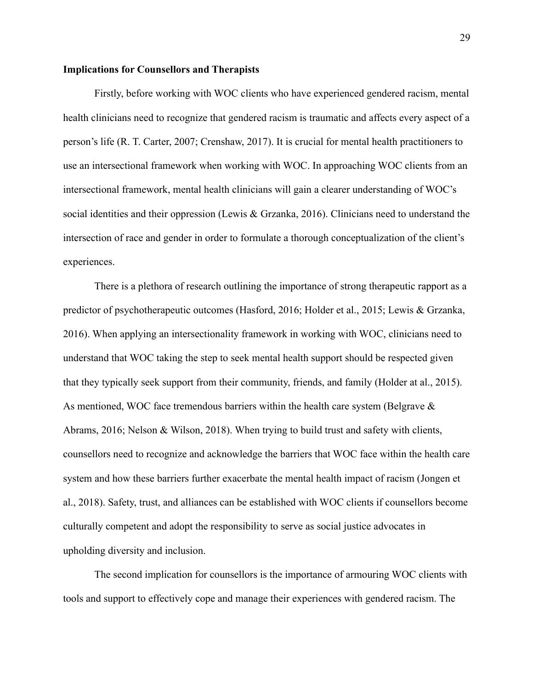# **Implications for Counsellors and Therapists**

Firstly, before working with WOC clients who have experienced gendered racism, mental health clinicians need to recognize that gendered racism is traumatic and affects every aspect of a person's life (R. T. Carter, 2007; Crenshaw, 2017). It is crucial for mental health practitioners to use an intersectional framework when working with WOC. In approaching WOC clients from an intersectional framework, mental health clinicians will gain a clearer understanding of WOC's social identities and their oppression (Lewis & Grzanka, 2016). Clinicians need to understand the intersection of race and gender in order to formulate a thorough conceptualization of the client's experiences.

There is a plethora of research outlining the importance of strong therapeutic rapport as a predictor of psychotherapeutic outcomes (Hasford, 2016; Holder et al., 2015; Lewis & Grzanka, 2016). When applying an intersectionality framework in working with WOC, clinicians need to understand that WOC taking the step to seek mental health support should be respected given that they typically seek support from their community, friends, and family (Holder at al., 2015). As mentioned, WOC face tremendous barriers within the health care system (Belgrave & Abrams, 2016; Nelson & Wilson, 2018). When trying to build trust and safety with clients, counsellors need to recognize and acknowledge the barriers that WOC face within the health care system and how these barriers further exacerbate the mental health impact of racism (Jongen et al., 2018). Safety, trust, and alliances can be established with WOC clients if counsellors become culturally competent and adopt the responsibility to serve as social justice advocates in upholding diversity and inclusion.

The second implication for counsellors is the importance of armouring WOC clients with tools and support to effectively cope and manage their experiences with gendered racism. The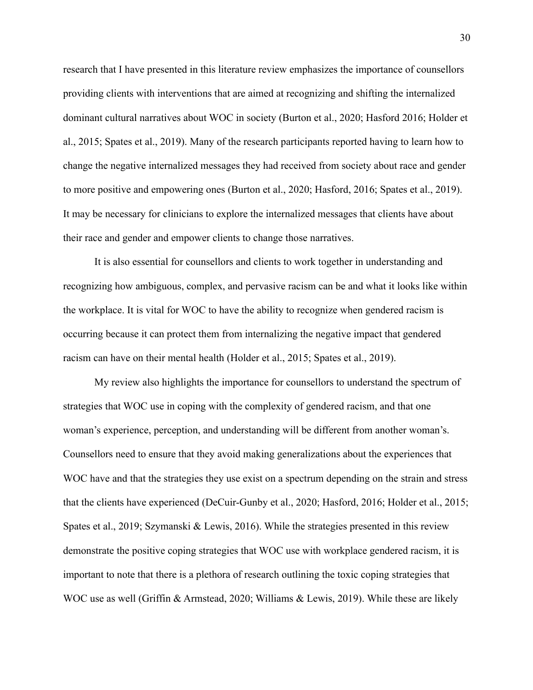research that I have presented in this literature review emphasizes the importance of counsellors providing clients with interventions that are aimed at recognizing and shifting the internalized dominant cultural narratives about WOC in society (Burton et al., 2020; Hasford 2016; Holder et al., 2015; Spates et al., 2019). Many of the research participants reported having to learn how to change the negative internalized messages they had received from society about race and gender to more positive and empowering ones (Burton et al., 2020; Hasford, 2016; Spates et al., 2019). It may be necessary for clinicians to explore the internalized messages that clients have about their race and gender and empower clients to change those narratives.

It is also essential for counsellors and clients to work together in understanding and recognizing how ambiguous, complex, and pervasive racism can be and what it looks like within the workplace. It is vital for WOC to have the ability to recognize when gendered racism is occurring because it can protect them from internalizing the negative impact that gendered racism can have on their mental health (Holder et al., 2015; Spates et al., 2019).

My review also highlights the importance for counsellors to understand the spectrum of strategies that WOC use in coping with the complexity of gendered racism, and that one woman's experience, perception, and understanding will be different from another woman's. Counsellors need to ensure that they avoid making generalizations about the experiences that WOC have and that the strategies they use exist on a spectrum depending on the strain and stress that the clients have experienced (DeCuir-Gunby et al., 2020; Hasford, 2016; Holder et al., 2015; Spates et al., 2019; Szymanski & Lewis, 2016). While the strategies presented in this review demonstrate the positive coping strategies that WOC use with workplace gendered racism, it is important to note that there is a plethora of research outlining the toxic coping strategies that WOC use as well (Griffin & Armstead, 2020; Williams & Lewis, 2019). While these are likely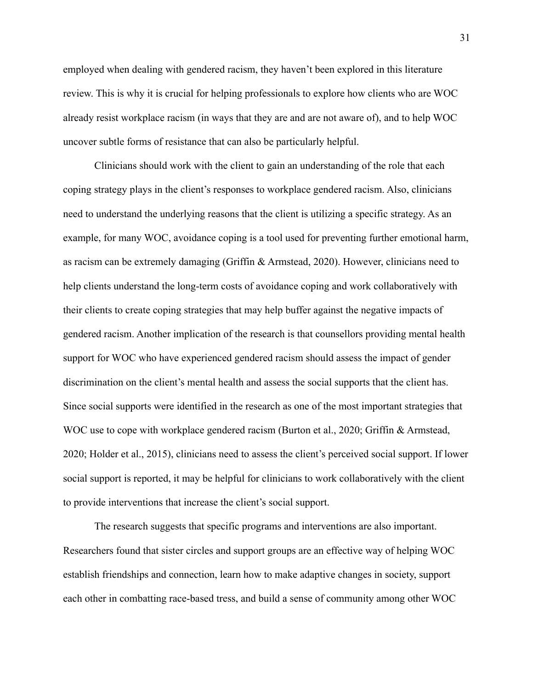employed when dealing with gendered racism, they haven't been explored in this literature review. This is why it is crucial for helping professionals to explore how clients who are WOC already resist workplace racism (in ways that they are and are not aware of), and to help WOC uncover subtle forms of resistance that can also be particularly helpful.

Clinicians should work with the client to gain an understanding of the role that each coping strategy plays in the client's responses to workplace gendered racism. Also, clinicians need to understand the underlying reasons that the client is utilizing a specific strategy. As an example, for many WOC, avoidance coping is a tool used for preventing further emotional harm, as racism can be extremely damaging (Griffin & Armstead, 2020). However, clinicians need to help clients understand the long-term costs of avoidance coping and work collaboratively with their clients to create coping strategies that may help buffer against the negative impacts of gendered racism. Another implication of the research is that counsellors providing mental health support for WOC who have experienced gendered racism should assess the impact of gender discrimination on the client's mental health and assess the social supports that the client has. Since social supports were identified in the research as one of the most important strategies that WOC use to cope with workplace gendered racism (Burton et al., 2020; Griffin & Armstead, 2020; Holder et al., 2015), clinicians need to assess the client's perceived social support. If lower social support is reported, it may be helpful for clinicians to work collaboratively with the client to provide interventions that increase the client's social support.

The research suggests that specific programs and interventions are also important. Researchers found that sister circles and support groups are an effective way of helping WOC establish friendships and connection, learn how to make adaptive changes in society, support each other in combatting race-based tress, and build a sense of community among other WOC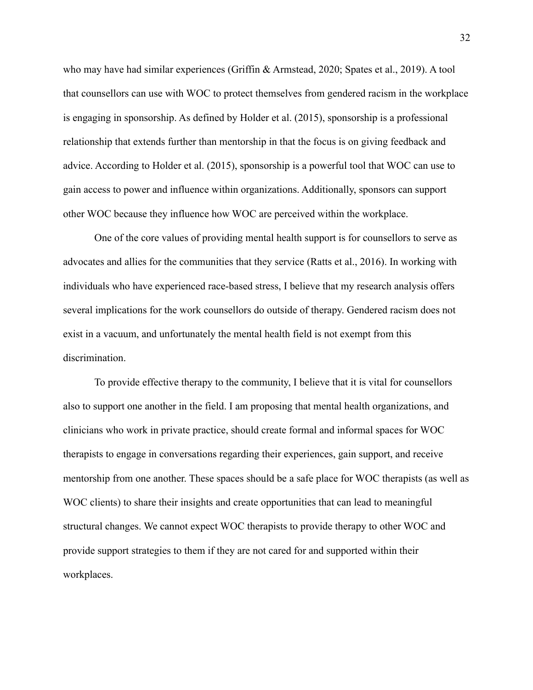who may have had similar experiences (Griffin & Armstead, 2020; Spates et al., 2019). A tool that counsellors can use with WOC to protect themselves from gendered racism in the workplace is engaging in sponsorship. As defined by Holder et al. (2015), sponsorship is a professional relationship that extends further than mentorship in that the focus is on giving feedback and advice. According to Holder et al. (2015), sponsorship is a powerful tool that WOC can use to gain access to power and influence within organizations. Additionally, sponsors can support other WOC because they influence how WOC are perceived within the workplace.

One of the core values of providing mental health support is for counsellors to serve as advocates and allies for the communities that they service (Ratts et al., 2016). In working with individuals who have experienced race-based stress, I believe that my research analysis offers several implications for the work counsellors do outside of therapy. Gendered racism does not exist in a vacuum, and unfortunately the mental health field is not exempt from this discrimination.

To provide effective therapy to the community, I believe that it is vital for counsellors also to support one another in the field. I am proposing that mental health organizations, and clinicians who work in private practice, should create formal and informal spaces for WOC therapists to engage in conversations regarding their experiences, gain support, and receive mentorship from one another. These spaces should be a safe place for WOC therapists (as well as WOC clients) to share their insights and create opportunities that can lead to meaningful structural changes. We cannot expect WOC therapists to provide therapy to other WOC and provide support strategies to them if they are not cared for and supported within their workplaces.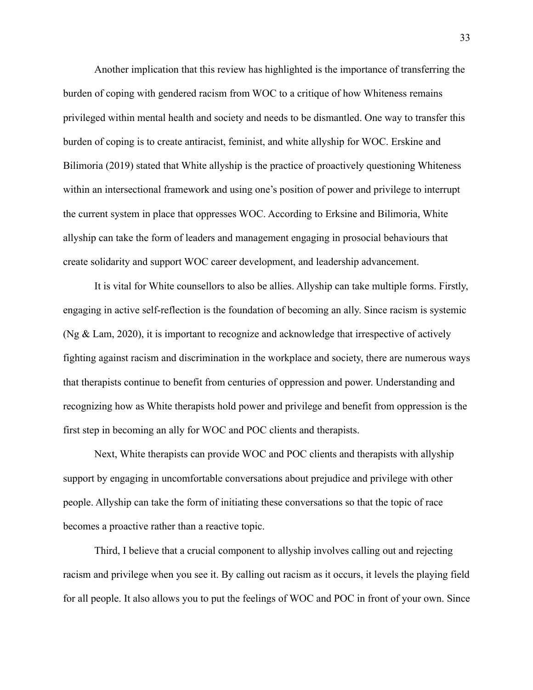Another implication that this review has highlighted is the importance of transferring the burden of coping with gendered racism from WOC to a critique of how Whiteness remains privileged within mental health and society and needs to be dismantled. One way to transfer this burden of coping is to create antiracist, feminist, and white allyship for WOC. Erskine and Bilimoria (2019) stated that White allyship is the practice of proactively questioning Whiteness within an intersectional framework and using one's position of power and privilege to interrupt the current system in place that oppresses WOC. According to Erksine and Bilimoria, White allyship can take the form of leaders and management engaging in prosocial behaviours that create solidarity and support WOC career development, and leadership advancement.

It is vital for White counsellors to also be allies. Allyship can take multiple forms. Firstly, engaging in active self-reflection is the foundation of becoming an ally. Since racism is systemic (Ng & Lam, 2020), it is important to recognize and acknowledge that irrespective of actively fighting against racism and discrimination in the workplace and society, there are numerous ways that therapists continue to benefit from centuries of oppression and power. Understanding and recognizing how as White therapists hold power and privilege and benefit from oppression is the first step in becoming an ally for WOC and POC clients and therapists.

Next, White therapists can provide WOC and POC clients and therapists with allyship support by engaging in uncomfortable conversations about prejudice and privilege with other people. Allyship can take the form of initiating these conversations so that the topic of race becomes a proactive rather than a reactive topic.

Third, I believe that a crucial component to allyship involves calling out and rejecting racism and privilege when you see it. By calling out racism as it occurs, it levels the playing field for all people. It also allows you to put the feelings of WOC and POC in front of your own. Since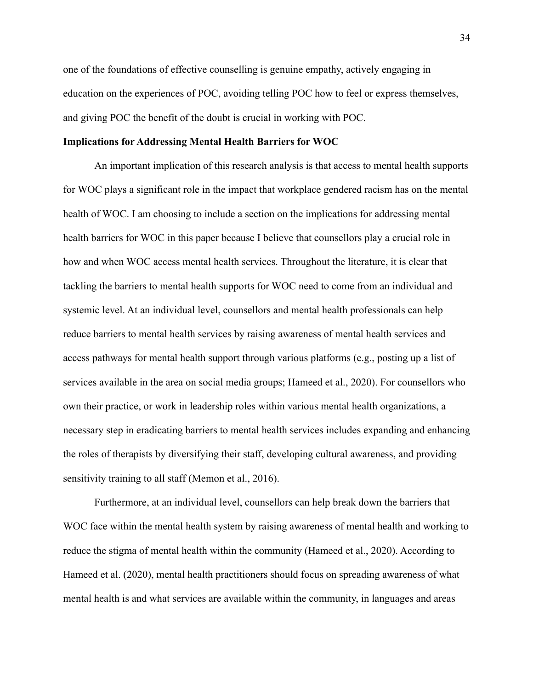one of the foundations of effective counselling is genuine empathy, actively engaging in education on the experiences of POC, avoiding telling POC how to feel or express themselves, and giving POC the benefit of the doubt is crucial in working with POC.

# **Implications for Addressing Mental Health Barriers for WOC**

An important implication of this research analysis is that access to mental health supports for WOC plays a significant role in the impact that workplace gendered racism has on the mental health of WOC. I am choosing to include a section on the implications for addressing mental health barriers for WOC in this paper because I believe that counsellors play a crucial role in how and when WOC access mental health services. Throughout the literature, it is clear that tackling the barriers to mental health supports for WOC need to come from an individual and systemic level. At an individual level, counsellors and mental health professionals can help reduce barriers to mental health services by raising awareness of mental health services and access pathways for mental health support through various platforms (e.g., posting up a list of services available in the area on social media groups; Hameed et al., 2020). For counsellors who own their practice, or work in leadership roles within various mental health organizations, a necessary step in eradicating barriers to mental health services includes expanding and enhancing the roles of therapists by diversifying their staff, developing cultural awareness, and providing sensitivity training to all staff (Memon et al., 2016).

Furthermore, at an individual level, counsellors can help break down the barriers that WOC face within the mental health system by raising awareness of mental health and working to reduce the stigma of mental health within the community (Hameed et al., 2020). According to Hameed et al. (2020), mental health practitioners should focus on spreading awareness of what mental health is and what services are available within the community, in languages and areas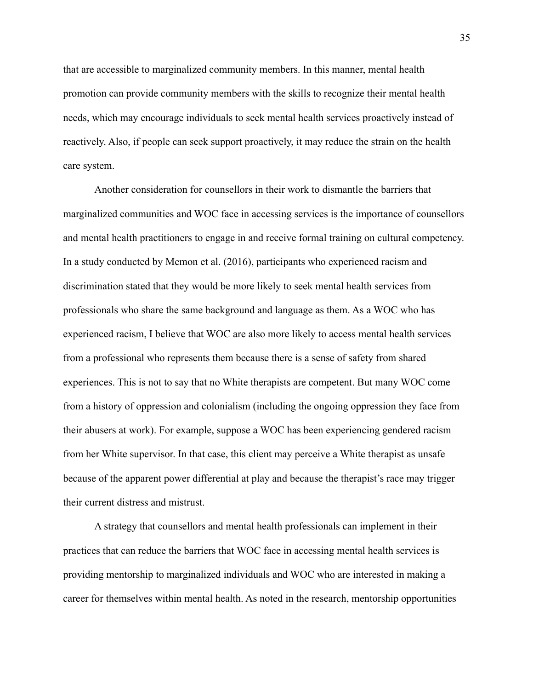that are accessible to marginalized community members. In this manner, mental health promotion can provide community members with the skills to recognize their mental health needs, which may encourage individuals to seek mental health services proactively instead of reactively. Also, if people can seek support proactively, it may reduce the strain on the health care system.

Another consideration for counsellors in their work to dismantle the barriers that marginalized communities and WOC face in accessing services is the importance of counsellors and mental health practitioners to engage in and receive formal training on cultural competency. In a study conducted by Memon et al. (2016), participants who experienced racism and discrimination stated that they would be more likely to seek mental health services from professionals who share the same background and language as them. As a WOC who has experienced racism, I believe that WOC are also more likely to access mental health services from a professional who represents them because there is a sense of safety from shared experiences. This is not to say that no White therapists are competent. But many WOC come from a history of oppression and colonialism (including the ongoing oppression they face from their abusers at work). For example, suppose a WOC has been experiencing gendered racism from her White supervisor. In that case, this client may perceive a White therapist as unsafe because of the apparent power differential at play and because the therapist's race may trigger their current distress and mistrust.

A strategy that counsellors and mental health professionals can implement in their practices that can reduce the barriers that WOC face in accessing mental health services is providing mentorship to marginalized individuals and WOC who are interested in making a career for themselves within mental health. As noted in the research, mentorship opportunities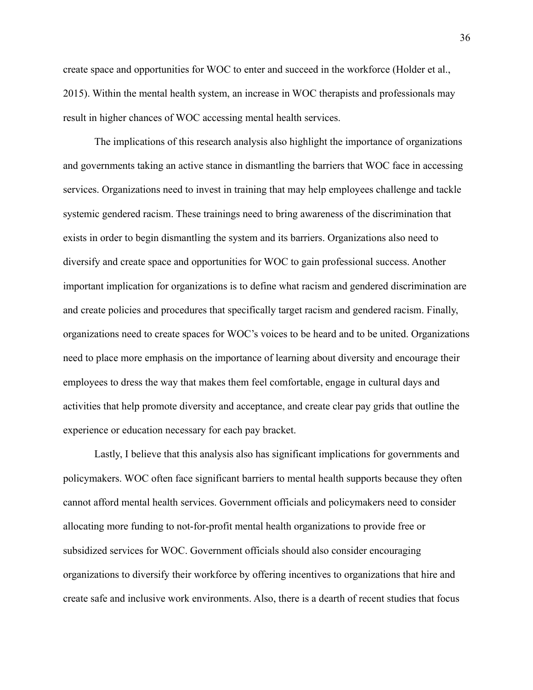create space and opportunities for WOC to enter and succeed in the workforce (Holder et al., 2015). Within the mental health system, an increase in WOC therapists and professionals may result in higher chances of WOC accessing mental health services.

The implications of this research analysis also highlight the importance of organizations and governments taking an active stance in dismantling the barriers that WOC face in accessing services. Organizations need to invest in training that may help employees challenge and tackle systemic gendered racism. These trainings need to bring awareness of the discrimination that exists in order to begin dismantling the system and its barriers. Organizations also need to diversify and create space and opportunities for WOC to gain professional success. Another important implication for organizations is to define what racism and gendered discrimination are and create policies and procedures that specifically target racism and gendered racism. Finally, organizations need to create spaces for WOC's voices to be heard and to be united. Organizations need to place more emphasis on the importance of learning about diversity and encourage their employees to dress the way that makes them feel comfortable, engage in cultural days and activities that help promote diversity and acceptance, and create clear pay grids that outline the experience or education necessary for each pay bracket.

Lastly, I believe that this analysis also has significant implications for governments and policymakers. WOC often face significant barriers to mental health supports because they often cannot afford mental health services. Government officials and policymakers need to consider allocating more funding to not-for-profit mental health organizations to provide free or subsidized services for WOC. Government officials should also consider encouraging organizations to diversify their workforce by offering incentives to organizations that hire and create safe and inclusive work environments. Also, there is a dearth of recent studies that focus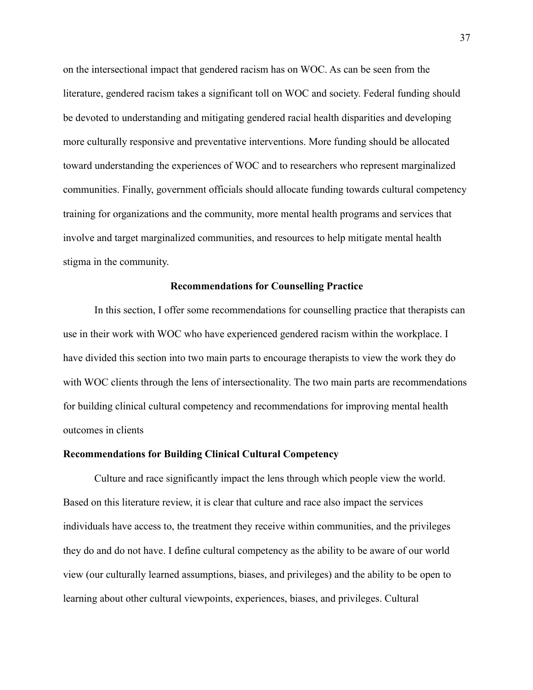on the intersectional impact that gendered racism has on WOC. As can be seen from the literature, gendered racism takes a significant toll on WOC and society. Federal funding should be devoted to understanding and mitigating gendered racial health disparities and developing more culturally responsive and preventative interventions. More funding should be allocated toward understanding the experiences of WOC and to researchers who represent marginalized communities. Finally, government officials should allocate funding towards cultural competency training for organizations and the community, more mental health programs and services that involve and target marginalized communities, and resources to help mitigate mental health stigma in the community.

#### **Recommendations for Counselling Practice**

In this section, I offer some recommendations for counselling practice that therapists can use in their work with WOC who have experienced gendered racism within the workplace. I have divided this section into two main parts to encourage therapists to view the work they do with WOC clients through the lens of intersectionality. The two main parts are recommendations for building clinical cultural competency and recommendations for improving mental health outcomes in clients

#### **Recommendations for Building Clinical Cultural Competency**

Culture and race significantly impact the lens through which people view the world. Based on this literature review, it is clear that culture and race also impact the services individuals have access to, the treatment they receive within communities, and the privileges they do and do not have. I define cultural competency as the ability to be aware of our world view (our culturally learned assumptions, biases, and privileges) and the ability to be open to learning about other cultural viewpoints, experiences, biases, and privileges. Cultural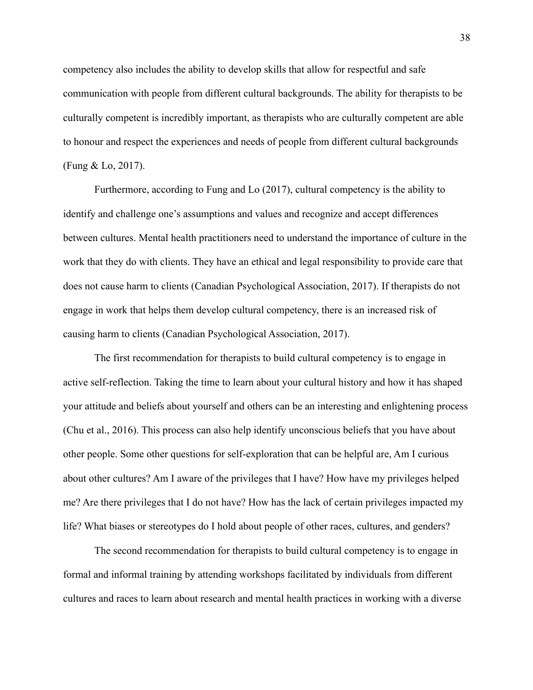competency also includes the ability to develop skills that allow for respectful and safe communication with people from different cultural backgrounds. The ability for therapists to be culturally competent is incredibly important, as therapists who are culturally competent are able to honour and respect the experiences and needs of people from different cultural backgrounds (Fung & Lo, 2017).

Furthermore, according to Fung and Lo (2017), cultural competency is the ability to identify and challenge one's assumptions and values and recognize and accept differences between cultures. Mental health practitioners need to understand the importance of culture in the work that they do with clients. They have an ethical and legal responsibility to provide care that does not cause harm to clients (Canadian Psychological Association, 2017). If therapists do not engage in work that helps them develop cultural competency, there is an increased risk of causing harm to clients (Canadian Psychological Association, 2017).

The first recommendation for therapists to build cultural competency is to engage in active self-reflection. Taking the time to learn about your cultural history and how it has shaped your attitude and beliefs about yourself and others can be an interesting and enlightening process (Chu et al., 2016). This process can also help identify unconscious beliefs that you have about other people. Some other questions for self-exploration that can be helpful are, Am I curious about other cultures? Am I aware of the privileges that I have? How have my privileges helped me? Are there privileges that I do not have? How has the lack of certain privileges impacted my life? What biases or stereotypes do I hold about people of other races, cultures, and genders?

The second recommendation for therapists to build cultural competency is to engage in formal and informal training by attending workshops facilitated by individuals from different cultures and races to learn about research and mental health practices in working with a diverse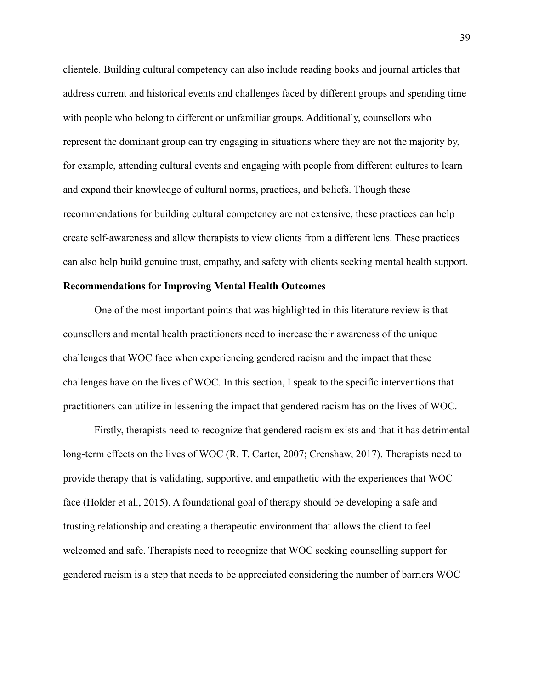clientele. Building cultural competency can also include reading books and journal articles that address current and historical events and challenges faced by different groups and spending time with people who belong to different or unfamiliar groups. Additionally, counsellors who represent the dominant group can try engaging in situations where they are not the majority by, for example, attending cultural events and engaging with people from different cultures to learn and expand their knowledge of cultural norms, practices, and beliefs. Though these recommendations for building cultural competency are not extensive, these practices can help create self-awareness and allow therapists to view clients from a different lens. These practices can also help build genuine trust, empathy, and safety with clients seeking mental health support.

# **Recommendations for Improving Mental Health Outcomes**

One of the most important points that was highlighted in this literature review is that counsellors and mental health practitioners need to increase their awareness of the unique challenges that WOC face when experiencing gendered racism and the impact that these challenges have on the lives of WOC. In this section, I speak to the specific interventions that practitioners can utilize in lessening the impact that gendered racism has on the lives of WOC.

Firstly, therapists need to recognize that gendered racism exists and that it has detrimental long-term effects on the lives of WOC (R. T. Carter, 2007; Crenshaw, 2017). Therapists need to provide therapy that is validating, supportive, and empathetic with the experiences that WOC face (Holder et al., 2015). A foundational goal of therapy should be developing a safe and trusting relationship and creating a therapeutic environment that allows the client to feel welcomed and safe. Therapists need to recognize that WOC seeking counselling support for gendered racism is a step that needs to be appreciated considering the number of barriers WOC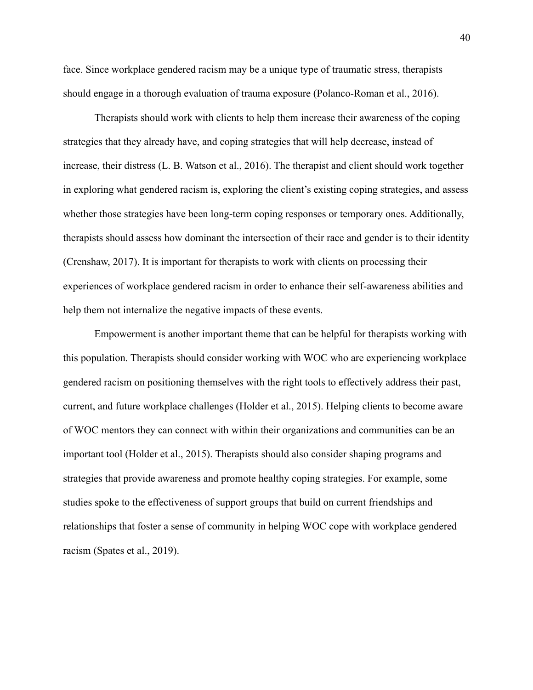face. Since workplace gendered racism may be a unique type of traumatic stress, therapists should engage in a thorough evaluation of trauma exposure (Polanco-Roman et al., 2016).

Therapists should work with clients to help them increase their awareness of the coping strategies that they already have, and coping strategies that will help decrease, instead of increase, their distress (L. B. Watson et al., 2016). The therapist and client should work together in exploring what gendered racism is, exploring the client's existing coping strategies, and assess whether those strategies have been long-term coping responses or temporary ones. Additionally, therapists should assess how dominant the intersection of their race and gender is to their identity (Crenshaw, 2017). It is important for therapists to work with clients on processing their experiences of workplace gendered racism in order to enhance their self-awareness abilities and help them not internalize the negative impacts of these events.

Empowerment is another important theme that can be helpful for therapists working with this population. Therapists should consider working with WOC who are experiencing workplace gendered racism on positioning themselves with the right tools to effectively address their past, current, and future workplace challenges (Holder et al., 2015). Helping clients to become aware of WOC mentors they can connect with within their organizations and communities can be an important tool (Holder et al., 2015). Therapists should also consider shaping programs and strategies that provide awareness and promote healthy coping strategies. For example, some studies spoke to the effectiveness of support groups that build on current friendships and relationships that foster a sense of community in helping WOC cope with workplace gendered racism (Spates et al., 2019).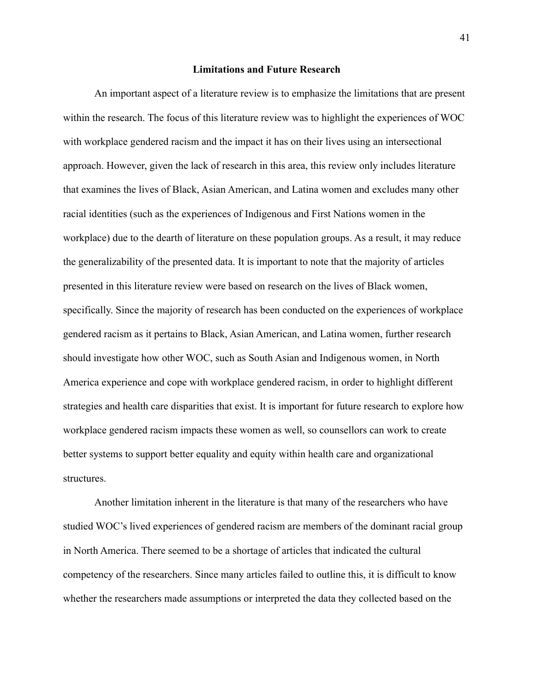## **Limitations and Future Research**

An important aspect of a literature review is to emphasize the limitations that are present within the research. The focus of this literature review was to highlight the experiences of WOC with workplace gendered racism and the impact it has on their lives using an intersectional approach. However, given the lack of research in this area, this review only includes literature that examines the lives of Black, Asian American, and Latina women and excludes many other racial identities (such as the experiences of Indigenous and First Nations women in the workplace) due to the dearth of literature on these population groups. As a result, it may reduce the generalizability of the presented data. It is important to note that the majority of articles presented in this literature review were based on research on the lives of Black women, specifically. Since the majority of research has been conducted on the experiences of workplace gendered racism as it pertains to Black, Asian American, and Latina women, further research should investigate how other WOC, such as South Asian and Indigenous women, in North America experience and cope with workplace gendered racism, in order to highlight different strategies and health care disparities that exist. It is important for future research to explore how workplace gendered racism impacts these women as well, so counsellors can work to create better systems to support better equality and equity within health care and organizational structures.

Another limitation inherent in the literature is that many of the researchers who have studied WOC's lived experiences of gendered racism are members of the dominant racial group in North America. There seemed to be a shortage of articles that indicated the cultural competency of the researchers. Since many articles failed to outline this, it is difficult to know whether the researchers made assumptions or interpreted the data they collected based on the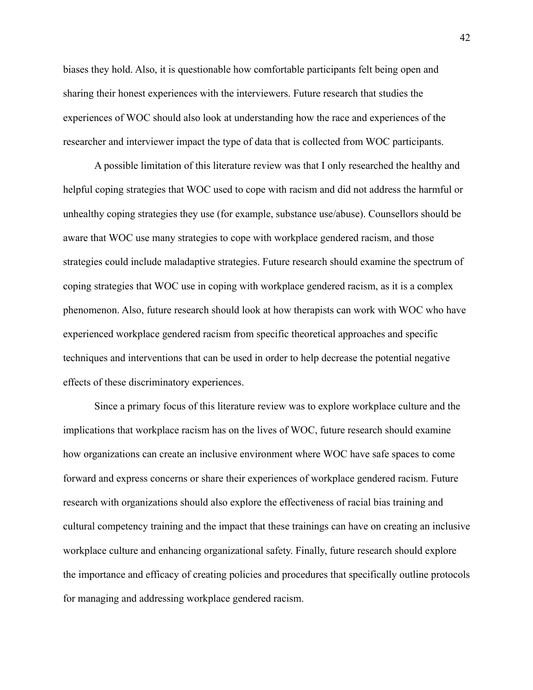biases they hold. Also, it is questionable how comfortable participants felt being open and sharing their honest experiences with the interviewers. Future research that studies the experiences of WOC should also look at understanding how the race and experiences of the researcher and interviewer impact the type of data that is collected from WOC participants.

A possible limitation of this literature review was that I only researched the healthy and helpful coping strategies that WOC used to cope with racism and did not address the harmful or unhealthy coping strategies they use (for example, substance use/abuse). Counsellors should be aware that WOC use many strategies to cope with workplace gendered racism, and those strategies could include maladaptive strategies. Future research should examine the spectrum of coping strategies that WOC use in coping with workplace gendered racism, as it is a complex phenomenon. Also, future research should look at how therapists can work with WOC who have experienced workplace gendered racism from specific theoretical approaches and specific techniques and interventions that can be used in order to help decrease the potential negative effects of these discriminatory experiences.

Since a primary focus of this literature review was to explore workplace culture and the implications that workplace racism has on the lives of WOC, future research should examine how organizations can create an inclusive environment where WOC have safe spaces to come forward and express concerns or share their experiences of workplace gendered racism. Future research with organizations should also explore the effectiveness of racial bias training and cultural competency training and the impact that these trainings can have on creating an inclusive workplace culture and enhancing organizational safety. Finally, future research should explore the importance and efficacy of creating policies and procedures that specifically outline protocols for managing and addressing workplace gendered racism.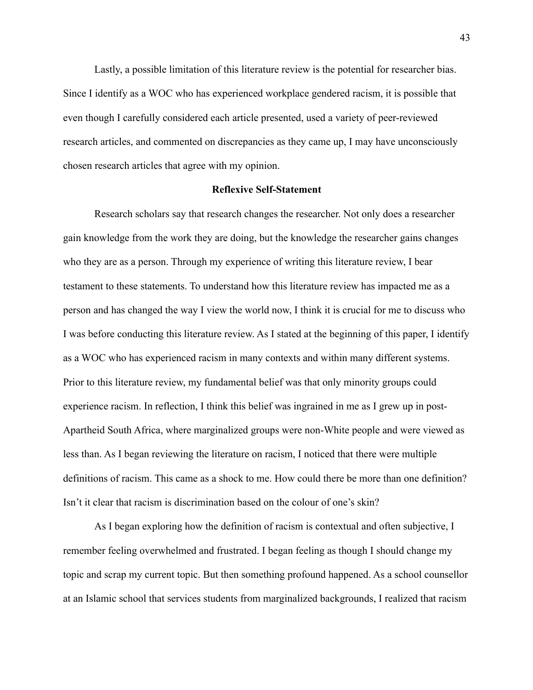Lastly, a possible limitation of this literature review is the potential for researcher bias. Since I identify as a WOC who has experienced workplace gendered racism, it is possible that even though I carefully considered each article presented, used a variety of peer-reviewed research articles, and commented on discrepancies as they came up, I may have unconsciously chosen research articles that agree with my opinion.

## **Reflexive Self-Statement**

Research scholars say that research changes the researcher. Not only does a researcher gain knowledge from the work they are doing, but the knowledge the researcher gains changes who they are as a person. Through my experience of writing this literature review, I bear testament to these statements. To understand how this literature review has impacted me as a person and has changed the way I view the world now, I think it is crucial for me to discuss who I was before conducting this literature review. As I stated at the beginning of this paper, I identify as a WOC who has experienced racism in many contexts and within many different systems. Prior to this literature review, my fundamental belief was that only minority groups could experience racism. In reflection, I think this belief was ingrained in me as I grew up in post-Apartheid South Africa, where marginalized groups were non-White people and were viewed as less than. As I began reviewing the literature on racism, I noticed that there were multiple definitions of racism. This came as a shock to me. How could there be more than one definition? Isn't it clear that racism is discrimination based on the colour of one's skin?

As I began exploring how the definition of racism is contextual and often subjective, I remember feeling overwhelmed and frustrated. I began feeling as though I should change my topic and scrap my current topic. But then something profound happened. As a school counsellor at an Islamic school that services students from marginalized backgrounds, I realized that racism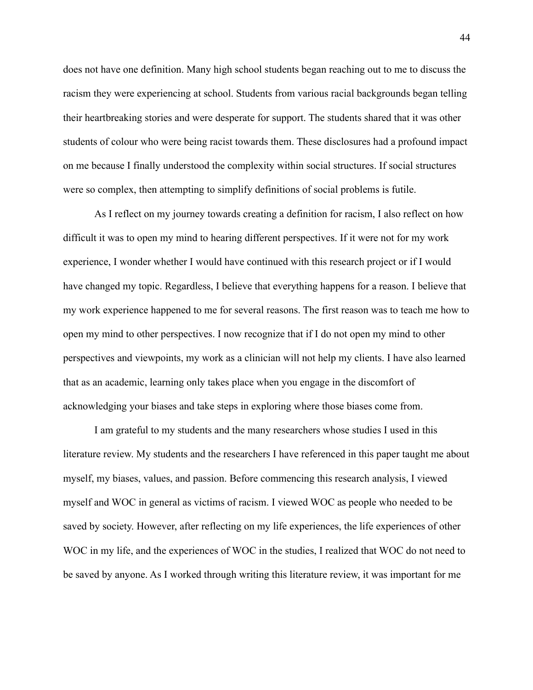does not have one definition. Many high school students began reaching out to me to discuss the racism they were experiencing at school. Students from various racial backgrounds began telling their heartbreaking stories and were desperate for support. The students shared that it was other students of colour who were being racist towards them. These disclosures had a profound impact on me because I finally understood the complexity within social structures. If social structures were so complex, then attempting to simplify definitions of social problems is futile.

As I reflect on my journey towards creating a definition for racism, I also reflect on how difficult it was to open my mind to hearing different perspectives. If it were not for my work experience, I wonder whether I would have continued with this research project or if I would have changed my topic. Regardless, I believe that everything happens for a reason. I believe that my work experience happened to me for several reasons. The first reason was to teach me how to open my mind to other perspectives. I now recognize that if I do not open my mind to other perspectives and viewpoints, my work as a clinician will not help my clients. I have also learned that as an academic, learning only takes place when you engage in the discomfort of acknowledging your biases and take steps in exploring where those biases come from.

I am grateful to my students and the many researchers whose studies I used in this literature review. My students and the researchers I have referenced in this paper taught me about myself, my biases, values, and passion. Before commencing this research analysis, I viewed myself and WOC in general as victims of racism. I viewed WOC as people who needed to be saved by society. However, after reflecting on my life experiences, the life experiences of other WOC in my life, and the experiences of WOC in the studies, I realized that WOC do not need to be saved by anyone. As I worked through writing this literature review, it was important for me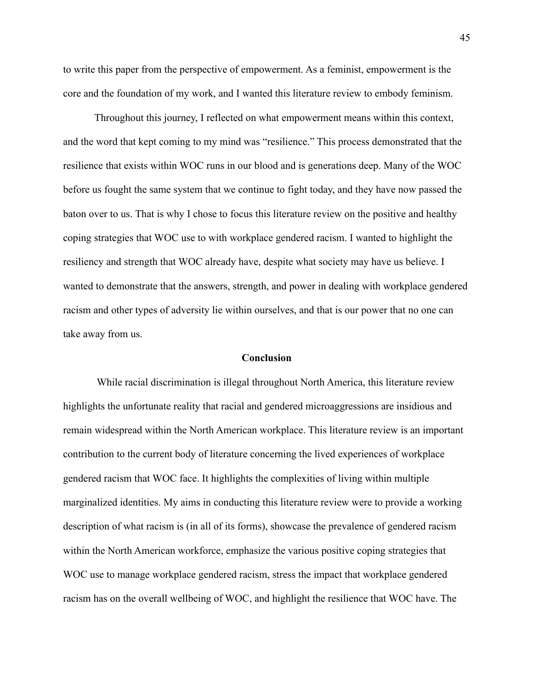to write this paper from the perspective of empowerment. As a feminist, empowerment is the core and the foundation of my work, and I wanted this literature review to embody feminism.

Throughout this journey, I reflected on what empowerment means within this context, and the word that kept coming to my mind was "resilience." This process demonstrated that the resilience that exists within WOC runs in our blood and is generations deep. Many of the WOC before us fought the same system that we continue to fight today, and they have now passed the baton over to us. That is why I chose to focus this literature review on the positive and healthy coping strategies that WOC use to with workplace gendered racism. I wanted to highlight the resiliency and strength that WOC already have, despite what society may have us believe. I wanted to demonstrate that the answers, strength, and power in dealing with workplace gendered racism and other types of adversity lie within ourselves, and that is our power that no one can take away from us.

#### **Conclusion**

While racial discrimination is illegal throughout North America, this literature review highlights the unfortunate reality that racial and gendered microaggressions are insidious and remain widespread within the North American workplace. This literature review is an important contribution to the current body of literature concerning the lived experiences of workplace gendered racism that WOC face. It highlights the complexities of living within multiple marginalized identities. My aims in conducting this literature review were to provide a working description of what racism is (in all of its forms), showcase the prevalence of gendered racism within the North American workforce, emphasize the various positive coping strategies that WOC use to manage workplace gendered racism, stress the impact that workplace gendered racism has on the overall wellbeing of WOC, and highlight the resilience that WOC have. The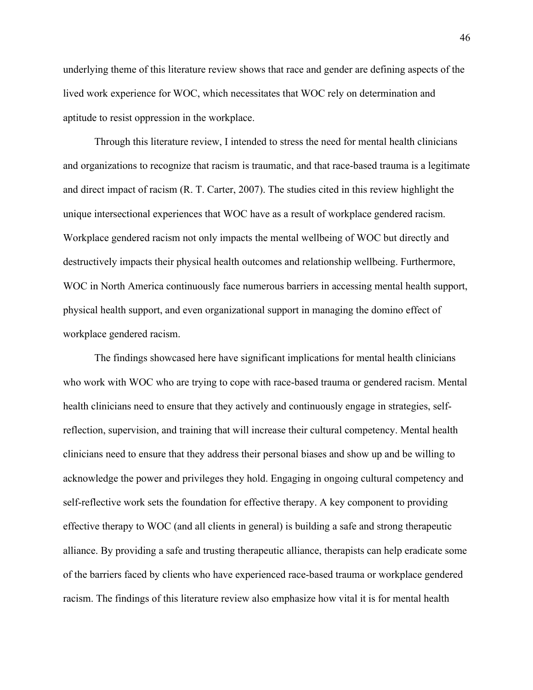underlying theme of this literature review shows that race and gender are defining aspects of the lived work experience for WOC, which necessitates that WOC rely on determination and aptitude to resist oppression in the workplace.

Through this literature review, I intended to stress the need for mental health clinicians and organizations to recognize that racism is traumatic, and that race-based trauma is a legitimate and direct impact of racism (R. T. Carter, 2007). The studies cited in this review highlight the unique intersectional experiences that WOC have as a result of workplace gendered racism. Workplace gendered racism not only impacts the mental wellbeing of WOC but directly and destructively impacts their physical health outcomes and relationship wellbeing. Furthermore, WOC in North America continuously face numerous barriers in accessing mental health support, physical health support, and even organizational support in managing the domino effect of workplace gendered racism.

The findings showcased here have significant implications for mental health clinicians who work with WOC who are trying to cope with race-based trauma or gendered racism. Mental health clinicians need to ensure that they actively and continuously engage in strategies, selfreflection, supervision, and training that will increase their cultural competency. Mental health clinicians need to ensure that they address their personal biases and show up and be willing to acknowledge the power and privileges they hold. Engaging in ongoing cultural competency and self-reflective work sets the foundation for effective therapy. A key component to providing effective therapy to WOC (and all clients in general) is building a safe and strong therapeutic alliance. By providing a safe and trusting therapeutic alliance, therapists can help eradicate some of the barriers faced by clients who have experienced race-based trauma or workplace gendered racism. The findings of this literature review also emphasize how vital it is for mental health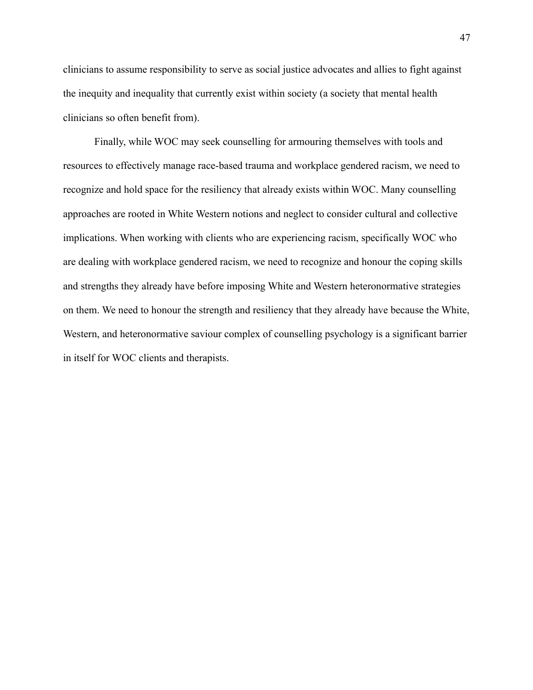clinicians to assume responsibility to serve as social justice advocates and allies to fight against the inequity and inequality that currently exist within society (a society that mental health clinicians so often benefit from).

Finally, while WOC may seek counselling for armouring themselves with tools and resources to effectively manage race-based trauma and workplace gendered racism, we need to recognize and hold space for the resiliency that already exists within WOC. Many counselling approaches are rooted in White Western notions and neglect to consider cultural and collective implications. When working with clients who are experiencing racism, specifically WOC who are dealing with workplace gendered racism, we need to recognize and honour the coping skills and strengths they already have before imposing White and Western heteronormative strategies on them. We need to honour the strength and resiliency that they already have because the White, Western, and heteronormative saviour complex of counselling psychology is a significant barrier in itself for WOC clients and therapists.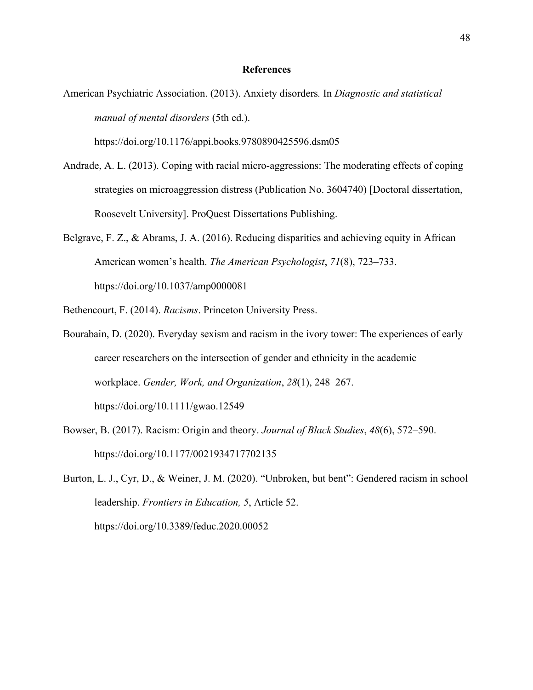# **References**

American Psychiatric Association. (2013). Anxiety disorders*.* In *Diagnostic and statistical manual of mental disorders* (5th ed.).

https://doi.org/10.1176/appi.books.9780890425596.dsm05

- Andrade, A. L. (2013). Coping with racial micro-aggressions: The moderating effects of coping strategies on microaggression distress (Publication No. 3604740) [Doctoral dissertation, Roosevelt University]. ProQuest Dissertations Publishing.
- Belgrave, F. Z., & Abrams, J. A. (2016). Reducing disparities and achieving equity in African American women's health. *The American Psychologist*, *71*(8), 723–733. https://doi.org/10.1037/amp0000081
- Bethencourt, F. (2014). *Racisms*. Princeton University Press.
- Bourabain, D. (2020). Everyday sexism and racism in the ivory tower: The experiences of early career researchers on the intersection of gender and ethnicity in the academic workplace. *Gender, Work, and Organization*, *28*(1), 248–267. https://doi.org/10.1111/gwao.12549
- Bowser, B. (2017). Racism: Origin and theory. *Journal of Black Studies*, *48*(6), 572–590. https://doi.org/10.1177/0021934717702135

Burton, L. J., Cyr, D., & Weiner, J. M. (2020). "Unbroken, but bent": Gendered racism in school leadership. *Frontiers in Education, 5*, Article 52. https://doi.org/10.3389/feduc.2020.00052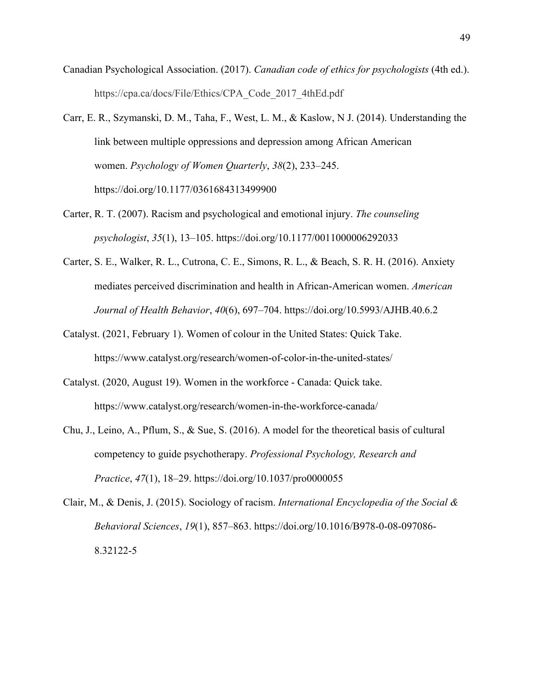- Canadian Psychological Association. (2017). *Canadian code of ethics for psychologists* (4th ed.). https://cpa.ca/docs/File/Ethics/CPA\_Code\_2017\_4thEd.pdf
- Carr, E. R., Szymanski, D. M., Taha, F., West, L. M., & Kaslow, N J. (2014). Understanding the link between multiple oppressions and depression among African American women. *Psychology of Women Quarterly*, *38*(2), 233–245. https://doi.org/10.1177/0361684313499900
- Carter, R. T. (2007). Racism and psychological and emotional injury. *The counseling psychologist*, *35*(1), 13–105. https://doi.org/10.1177/0011000006292033
- Carter, S. E., Walker, R. L., Cutrona, C. E., Simons, R. L., & Beach, S. R. H. (2016). Anxiety mediates perceived discrimination and health in African-American women. *American Journal of Health Behavior*, *40*(6), 697–704. https://doi.org/10.5993/AJHB.40.6.2
- Catalyst. (2021, February 1). Women of colour in the United States: Quick Take. https://www.catalyst.org/research/women-of-color-in-the-united-states/
- Catalyst. (2020, August 19). Women in the workforce Canada: Quick take. https://www.catalyst.org/research/women-in-the-workforce-canada/
- Chu, J., Leino, A., Pflum, S., & Sue, S. (2016). A model for the theoretical basis of cultural competency to guide psychotherapy. *Professional Psychology, Research and Practice*, *47*(1), 18–29. https://doi.org/10.1037/pro0000055
- Clair, M., & Denis, J. (2015). Sociology of racism. *International Encyclopedia of the Social & Behavioral Sciences*, *19*(1), 857–863. https://doi.org/10.1016/B978-0-08-097086- 8.32122-5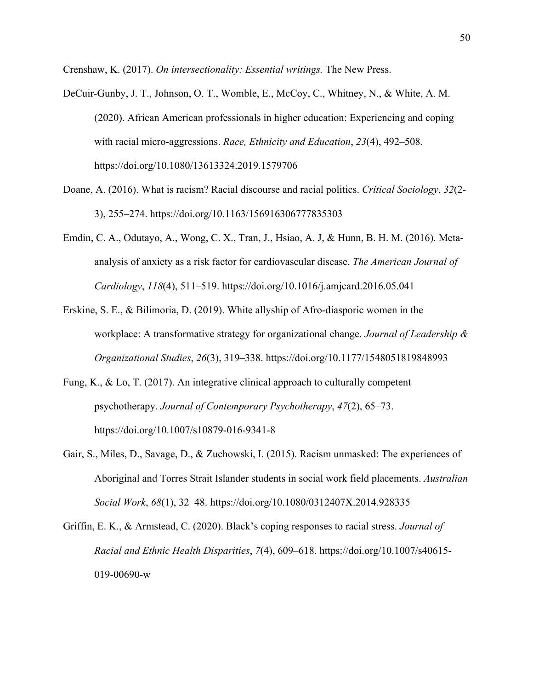Crenshaw, K. (2017). *On intersectionality: Essential writings.* The New Press.

- DeCuir-Gunby, J. T., Johnson, O. T., Womble, E., McCoy, C., Whitney, N., & White, A. M. (2020). African American professionals in higher education: Experiencing and coping with racial micro-aggressions. *Race, Ethnicity and Education*, *23*(4), 492–508. https://doi.org/10.1080/13613324.2019.1579706
- Doane, A. (2016). What is racism? Racial discourse and racial politics. *Critical Sociology*, *32*(2- 3), 255–274. https://doi.org/10.1163/156916306777835303
- Emdin, C. A., Odutayo, A., Wong, C. X., Tran, J., Hsiao, A. J, & Hunn, B. H. M. (2016). Metaanalysis of anxiety as a risk factor for cardiovascular disease. *The American Journal of Cardiology*, *118*(4), 511–519. https://doi.org/10.1016/j.amjcard.2016.05.041
- Erskine, S. E., & Bilimoria, D. (2019). White allyship of Afro-diasporic women in the workplace: A transformative strategy for organizational change. *Journal of Leadership & Organizational Studies*, *26*(3), 319–338. https://doi.org/10.1177/1548051819848993
- Fung, K., & Lo, T. (2017). An integrative clinical approach to culturally competent psychotherapy. *Journal of Contemporary Psychotherapy*, *47*(2), 65–73. https://doi.org/10.1007/s10879-016-9341-8
- Gair, S., Miles, D., Savage, D., & Zuchowski, I. (2015). Racism unmasked: The experiences of Aboriginal and Torres Strait Islander students in social work field placements. *Australian Social Work*, *68*(1), 32–48. https://doi.org/10.1080/0312407X.2014.928335
- Griffin, E. K., & Armstead, C. (2020). Black's coping responses to racial stress. *Journal of Racial and Ethnic Health Disparities*, *7*(4), 609–618. https://doi.org/10.1007/s40615- 019-00690-w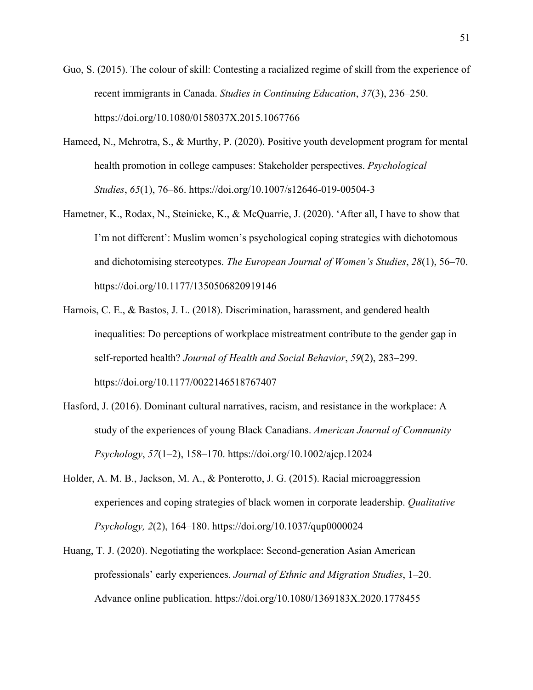- Guo, S. (2015). The colour of skill: Contesting a racialized regime of skill from the experience of recent immigrants in Canada. *Studies in Continuing Education*, *37*(3), 236–250. https://doi.org/10.1080/0158037X.2015.1067766
- Hameed, N., Mehrotra, S., & Murthy, P. (2020). Positive youth development program for mental health promotion in college campuses: Stakeholder perspectives. *Psychological Studies*, *65*(1), 76–86. https://doi.org/10.1007/s12646-019-00504-3
- Hametner, K., Rodax, N., Steinicke, K., & McQuarrie, J. (2020). 'After all, I have to show that I'm not different': Muslim women's psychological coping strategies with dichotomous and dichotomising stereotypes. *The European Journal of Women's Studies*, *28*(1), 56–70. https://doi.org/10.1177/1350506820919146
- Harnois, C. E., & Bastos, J. L. (2018). Discrimination, harassment, and gendered health inequalities: Do perceptions of workplace mistreatment contribute to the gender gap in self-reported health? *Journal of Health and Social Behavior*, *59*(2), 283–299. https://doi.org/10.1177/0022146518767407
- Hasford, J. (2016). Dominant cultural narratives, racism, and resistance in the workplace: A study of the experiences of young Black Canadians. *American Journal of Community Psychology*, *57*(1–2), 158–170. https://doi.org/10.1002/ajcp.12024
- Holder, A. M. B., Jackson, M. A., & Ponterotto, J. G. (2015). Racial microaggression experiences and coping strategies of black women in corporate leadership. *Qualitative Psychology, 2*(2), 164–180. https://doi.org/10.1037/qup0000024
- Huang, T. J. (2020). Negotiating the workplace: Second-generation Asian American professionals' early experiences. *Journal of Ethnic and Migration Studies*, 1–20. Advance online publication. https://doi.org/10.1080/1369183X.2020.1778455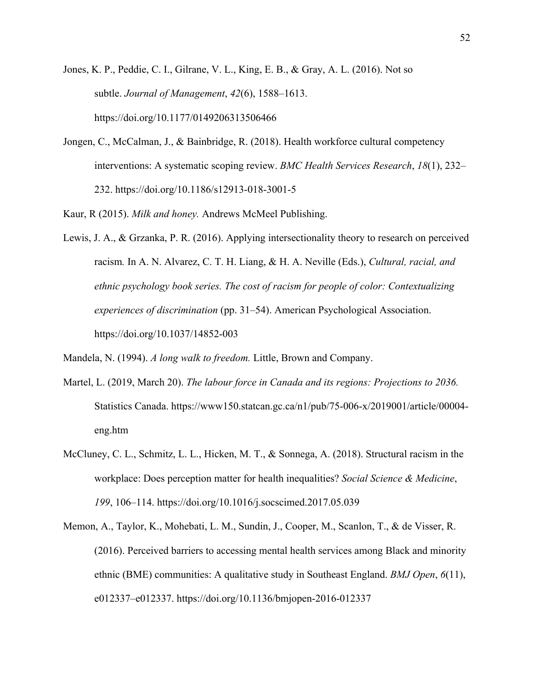Jones, K. P., Peddie, C. I., Gilrane, V. L., King, E. B., & Gray, A. L. (2016). Not so subtle. *Journal of Management*, *42*(6), 1588–1613. https://doi.org/10.1177/0149206313506466

Jongen, C., McCalman, J., & Bainbridge, R. (2018). Health workforce cultural competency interventions: A systematic scoping review. *BMC Health Services Research*, *18*(1), 232– 232. https://doi.org/10.1186/s12913-018-3001-5

Kaur, R (2015). *Milk and honey.* Andrews McMeel Publishing.

Lewis, J. A., & Grzanka, P. R. (2016). Applying intersectionality theory to research on perceived racism*.* In A. N. Alvarez, C. T. H. Liang, & H. A. Neville (Eds.), *Cultural, racial, and ethnic psychology book series. The cost of racism for people of color: Contextualizing experiences of discrimination* (pp. 31–54). American Psychological Association. https://doi.org/10.1037/14852-003

Mandela, N. (1994). *A long walk to freedom.* Little, Brown and Company.

- Martel, L. (2019, March 20). *The labour force in Canada and its regions: Projections to 2036.*  Statistics Canada. https://www150.statcan.gc.ca/n1/pub/75-006-x/2019001/article/00004 eng.htm
- McCluney, C. L., Schmitz, L. L., Hicken, M. T., & Sonnega, A. (2018). Structural racism in the workplace: Does perception matter for health inequalities? *Social Science & Medicine*, *199*, 106–114. https://doi.org/10.1016/j.socscimed.2017.05.039
- Memon, A., Taylor, K., Mohebati, L. M., Sundin, J., Cooper, M., Scanlon, T., & de Visser, R. (2016). Perceived barriers to accessing mental health services among Black and minority ethnic (BME) communities: A qualitative study in Southeast England. *BMJ Open*, *6*(11), e012337–e012337. https://doi.org/10.1136/bmjopen-2016-012337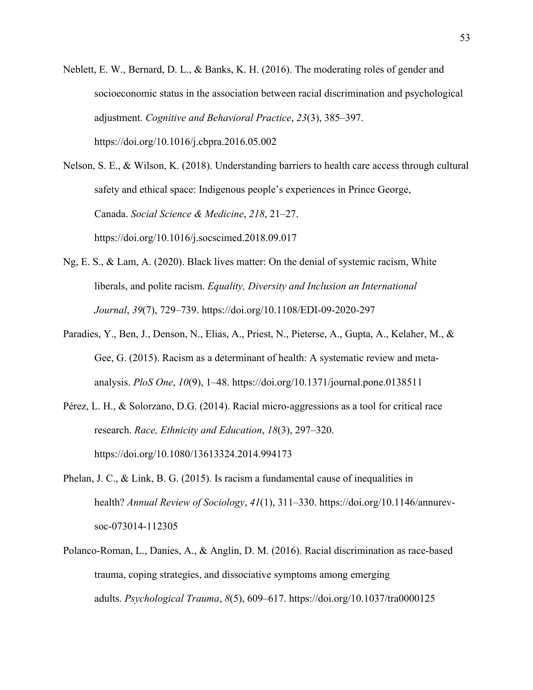Neblett, E. W., Bernard, D. L., & Banks, K. H. (2016). The moderating roles of gender and socioeconomic status in the association between racial discrimination and psychological adjustment. *Cognitive and Behavioral Practice*, *23*(3), 385–397. https://doi.org/10.1016/j.cbpra.2016.05.002

Nelson, S. E., & Wilson, K. (2018). Understanding barriers to health care access through cultural safety and ethical space: Indigenous people's experiences in Prince George, Canada. *Social Science & Medicine*, *218*, 21–27. https://doi.org/10.1016/j.socscimed.2018.09.017

- Ng, E. S., & Lam, A. (2020). Black lives matter: On the denial of systemic racism, White liberals, and polite racism. *Equality, Diversity and Inclusion an International Journal*, *39*(7), 729–739. https://doi.org/10.1108/EDI-09-2020-297
- Paradies, Y., Ben, J., Denson, N., Elias, A., Priest, N., Pieterse, A., Gupta, A., Kelaher, M., & Gee, G. (2015). Racism as a determinant of health: A systematic review and metaanalysis. *PloS One*, *10*(9), 1–48. https://doi.org/10.1371/journal.pone.0138511
- Pérez, L. H., & Solorzano, D.G. (2014). Racial micro-aggressions as a tool for critical race research. *Race, Ethnicity and Education*, *18*(3), 297–320. https://doi.org/10.1080/13613324.2014.994173
- Phelan, J. C., & Link, B. G. (2015). Is racism a fundamental cause of inequalities in health? *Annual Review of Sociology*, *41*(1), 311–330. https://doi.org/10.1146/annurevsoc-073014-112305
- Polanco-Roman, L., Danies, A., & Anglin, D. M. (2016). Racial discrimination as race-based trauma, coping strategies, and dissociative symptoms among emerging adults. *Psychological Trauma*, *8*(5), 609–617. https://doi.org/10.1037/tra0000125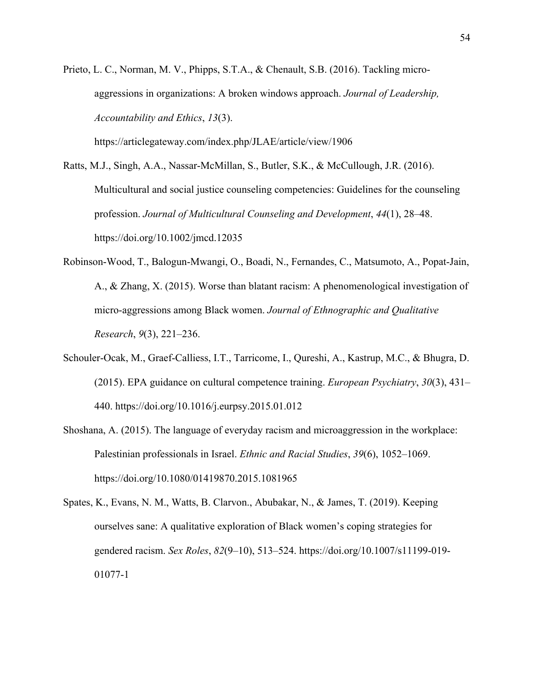Prieto, L. C., Norman, M. V., Phipps, S.T.A., & Chenault, S.B. (2016). Tackling microaggressions in organizations: A broken windows approach. *Journal of Leadership, Accountability and Ethics*, *13*(3).

https://articlegateway.com/index.php/JLAE/article/view/1906

Ratts, M.J., Singh, A.A., Nassar‐McMillan, S., Butler, S.K., & McCullough, J.R. (2016). Multicultural and social justice counseling competencies: Guidelines for the counseling profession. *Journal of Multicultural Counseling and Development*, *44*(1), 28–48. https://doi.org/10.1002/jmcd.12035

- Robinson-Wood, T., Balogun-Mwangi, O., Boadi, N., Fernandes, C., Matsumoto, A., Popat-Jain, A., & Zhang, X. (2015). Worse than blatant racism: A phenomenological investigation of micro-aggressions among Black women. *Journal of Ethnographic and Qualitative Research*, *9*(3), 221–236.
- Schouler-Ocak, M., Graef-Calliess, I.T., Tarricome, I., Qureshi, A., Kastrup, M.C., & Bhugra, D. (2015). EPA guidance on cultural competence training. *European Psychiatry*, *30*(3), 431– 440. https://doi.org/10.1016/j.eurpsy.2015.01.012
- Shoshana, A. (2015). The language of everyday racism and microaggression in the workplace: Palestinian professionals in Israel. *Ethnic and Racial Studies*, *39*(6), 1052–1069. https://doi.org/10.1080/01419870.2015.1081965
- Spates, K., Evans, N. M., Watts, B. Clarvon., Abubakar, N., & James, T. (2019). Keeping ourselves sane: A qualitative exploration of Black women's coping strategies for gendered racism. *Sex Roles*, *82*(9–10), 513–524. https://doi.org/10.1007/s11199-019- 01077-1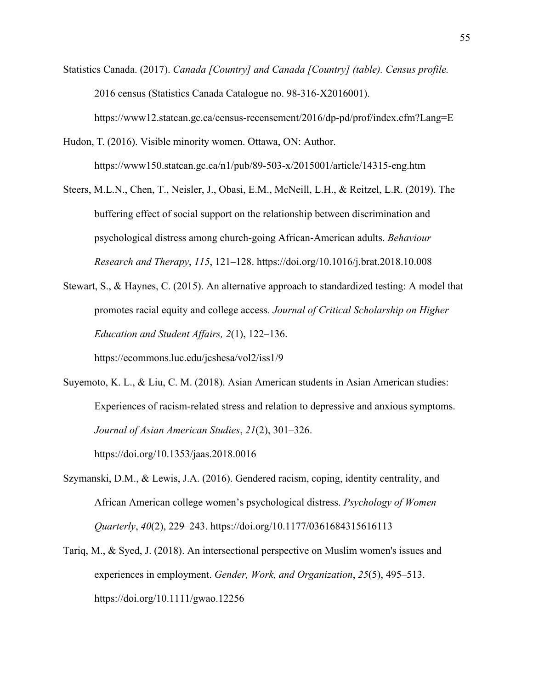- Statistics Canada. (2017). *Canada [Country] and Canada [Country] (table). Census profile.* 2016 census (Statistics Canada Catalogue no. 98-316-X2016001). https://www12.statcan.gc.ca/census-recensement/2016/dp-pd/prof/index.cfm?Lang=E
- Hudon, T. (2016). Visible minority women. Ottawa, ON: Author. https://www150.statcan.gc.ca/n1/pub/89-503-x/2015001/article/14315-eng.htm
- Steers, M.L.N., Chen, T., Neisler, J., Obasi, E.M., McNeill, L.H., & Reitzel, L.R. (2019). The buffering effect of social support on the relationship between discrimination and psychological distress among church-going African-American adults. *Behaviour Research and Therapy*, *115*, 121–128. https://doi.org/10.1016/j.brat.2018.10.008
- Stewart, S., & Haynes, C. (2015). An alternative approach to standardized testing: A model that promotes racial equity and college access*. Journal of Critical Scholarship on Higher Education and Student Affairs, 2*(1), 122–136.

https://ecommons.luc.edu/jcshesa/vol2/iss1/9

- Suyemoto, K. L., & Liu, C. M. (2018). Asian American students in Asian American studies: Experiences of racism-related stress and relation to depressive and anxious symptoms. *Journal of Asian American Studies*, *21*(2), 301–326. https://doi.org/10.1353/jaas.2018.0016
- Szymanski, D.M., & Lewis, J.A. (2016). Gendered racism, coping, identity centrality, and African American college women's psychological distress. *Psychology of Women Quarterly*, *40*(2), 229–243. https://doi.org/10.1177/0361684315616113
- Tariq, M., & Syed, J. (2018). An intersectional perspective on Muslim women's issues and experiences in employment. *Gender, Work, and Organization*, *25*(5), 495–513. https://doi.org/10.1111/gwao.12256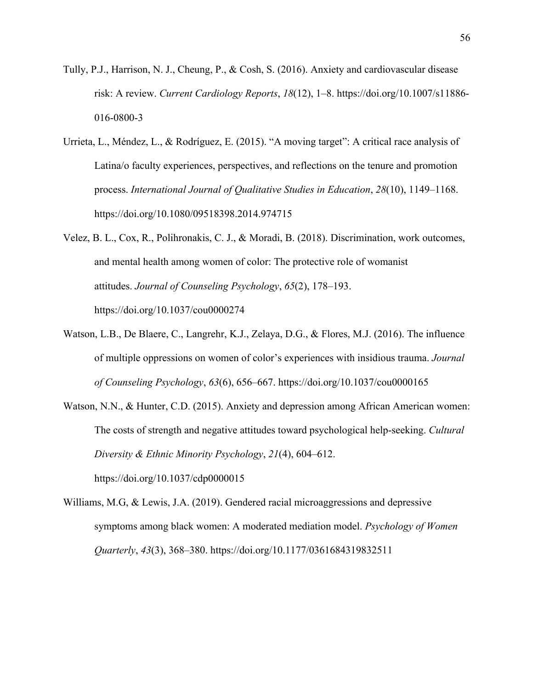- Tully, P.J., Harrison, N. J., Cheung, P., & Cosh, S. (2016). Anxiety and cardiovascular disease risk: A review. *Current Cardiology Reports*, *18*(12), 1–8. https://doi.org/10.1007/s11886- 016-0800-3
- Urrieta, L., Méndez, L., & Rodríguez, E. (2015). "A moving target": A critical race analysis of Latina/o faculty experiences, perspectives, and reflections on the tenure and promotion process. *International Journal of Qualitative Studies in Education*, *28*(10), 1149–1168. https://doi.org/10.1080/09518398.2014.974715
- Velez, B. L., Cox, R., Polihronakis, C. J., & Moradi, B. (2018). Discrimination, work outcomes, and mental health among women of color: The protective role of womanist attitudes. *Journal of Counseling Psychology*, *65*(2), 178–193. https://doi.org/10.1037/cou0000274
- Watson, L.B., De Blaere, C., Langrehr, K.J., Zelaya, D.G., & Flores, M.J. (2016). The influence of multiple oppressions on women of color's experiences with insidious trauma. *Journal of Counseling Psychology*, *63*(6), 656–667. https://doi.org/10.1037/cou0000165
- Watson, N.N., & Hunter, C.D. (2015). Anxiety and depression among African American women: The costs of strength and negative attitudes toward psychological help-seeking. *Cultural Diversity & Ethnic Minority Psychology*, *21*(4), 604–612. https://doi.org/10.1037/cdp0000015
- Williams, M.G, & Lewis, J.A. (2019). Gendered racial microaggressions and depressive symptoms among black women: A moderated mediation model. *Psychology of Women Quarterly*, *43*(3), 368–380. https://doi.org/10.1177/0361684319832511